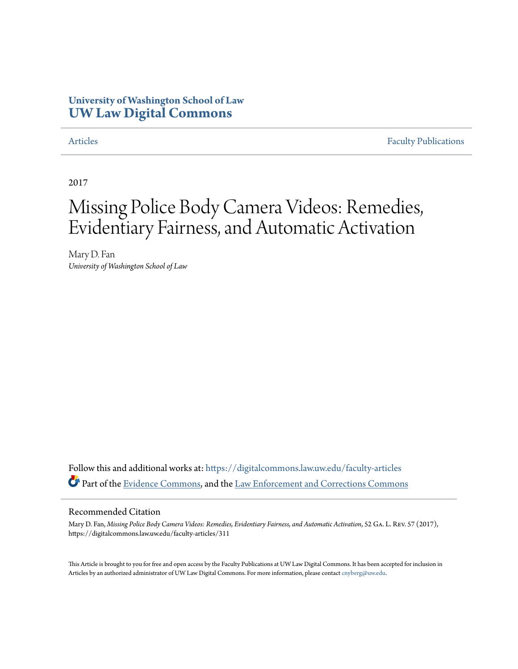# **University of Washington School of Law [UW Law Digital Commons](https://digitalcommons.law.uw.edu?utm_source=digitalcommons.law.uw.edu%2Ffaculty-articles%2F311&utm_medium=PDF&utm_campaign=PDFCoverPages)**

[Articles](https://digitalcommons.law.uw.edu/faculty-articles?utm_source=digitalcommons.law.uw.edu%2Ffaculty-articles%2F311&utm_medium=PDF&utm_campaign=PDFCoverPages) [Faculty Publications](https://digitalcommons.law.uw.edu/faculty-publications?utm_source=digitalcommons.law.uw.edu%2Ffaculty-articles%2F311&utm_medium=PDF&utm_campaign=PDFCoverPages)

2017

# Missing Police Body Camera Videos: Remedies, Evidentiary Fairness, and Automatic Activation

Mary D. Fan *University of Washington School of Law*

Follow this and additional works at: [https://digitalcommons.law.uw.edu/faculty-articles](https://digitalcommons.law.uw.edu/faculty-articles?utm_source=digitalcommons.law.uw.edu%2Ffaculty-articles%2F311&utm_medium=PDF&utm_campaign=PDFCoverPages) Part of the [Evidence Commons](http://network.bepress.com/hgg/discipline/601?utm_source=digitalcommons.law.uw.edu%2Ffaculty-articles%2F311&utm_medium=PDF&utm_campaign=PDFCoverPages), and the [Law Enforcement and Corrections Commons](http://network.bepress.com/hgg/discipline/854?utm_source=digitalcommons.law.uw.edu%2Ffaculty-articles%2F311&utm_medium=PDF&utm_campaign=PDFCoverPages)

#### Recommended Citation

Mary D. Fan, *Missing Police Body Camera Videos: Remedies, Evidentiary Fairness, and Automatic Activation*, 52 Ga. L. Rev. 57 (2017), https://digitalcommons.law.uw.edu/faculty-articles/311

This Article is brought to you for free and open access by the Faculty Publications at UW Law Digital Commons. It has been accepted for inclusion in Articles by an authorized administrator of UW Law Digital Commons. For more information, please contact [cnyberg@uw.edu.](mailto:cnyberg@uw.edu)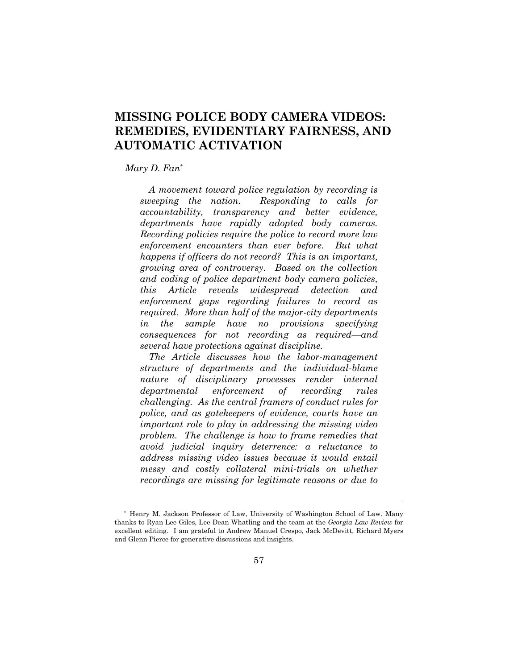# **MISSING POLICE BODY CAMERA VIDEOS: REMEDIES, EVIDENTIARY FAIRNESS, AND AUTOMATIC ACTIVATION**

#### *Mary D. Fan*\*

 $\overline{a}$ 

*A movement toward police regulation by recording is sweeping the nation. Responding to calls for accountability, transparency and better evidence, departments have rapidly adopted body cameras. Recording policies require the police to record more law enforcement encounters than ever before. But what happens if officers do not record? This is an important, growing area of controversy. Based on the collection and coding of police department body camera policies, this Article reveals widespread detection and enforcement gaps regarding failures to record as required. More than half of the major-city departments in the sample have no provisions specifying consequences for not recording as required—and several have protections against discipline.* 

 *The Article discusses how the labor-management structure of departments and the individual-blame nature of disciplinary processes render internal departmental enforcement of recording rules challenging. As the central framers of conduct rules for police, and as gatekeepers of evidence, courts have an important role to play in addressing the missing video problem. The challenge is how to frame remedies that avoid judicial inquiry deterrence: a reluctance to address missing video issues because it would entail messy and costly collateral mini-trials on whether recordings are missing for legitimate reasons or due to* 

 <sup>\*</sup> Henry M. Jackson Professor of Law, University of Washington School of Law. Many thanks to Ryan Lee Giles, Lee Dean Whatling and the team at the *Georgia Law Review* for excellent editing. I am grateful to Andrew Manuel Crespo, Jack McDevitt, Richard Myers and Glenn Pierce for generative discussions and insights.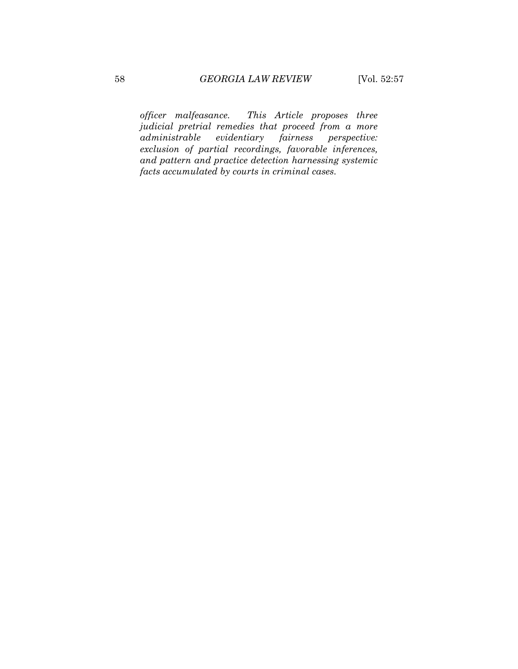*officer malfeasance. This Article proposes three judicial pretrial remedies that proceed from a more administrable evidentiary exclusion of partial recordings, favorable inferences, and pattern and practice detection harnessing systemic facts accumulated by courts in criminal cases.*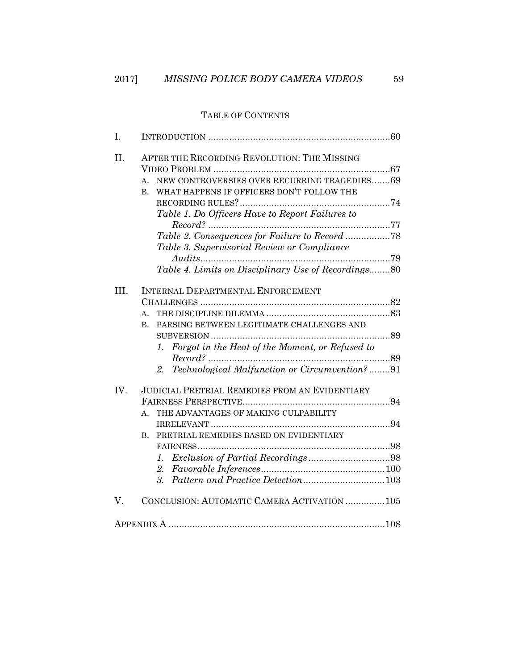## TABLE OF CONTENTS

| I.   |                                                                                                                                                                                                                                                                                                                                                                        |
|------|------------------------------------------------------------------------------------------------------------------------------------------------------------------------------------------------------------------------------------------------------------------------------------------------------------------------------------------------------------------------|
| II.  | AFTER THE RECORDING REVOLUTION: THE MISSING<br>NEW CONTROVERSIES OVER RECURRING TRAGEDIES69<br>A.<br>WHAT HAPPENS IF OFFICERS DON'T FOLLOW THE<br><b>B.</b><br>Table 1. Do Officers Have to Report Failures to<br>Table 2. Consequences for Failure to Record 78<br>Table 3. Supervisorial Review or Compliance<br>Table 4. Limits on Disciplinary Use of Recordings80 |
| III. | INTERNAL DEPARTMENTAL ENFORCEMENT<br>A.<br>PARSING BETWEEN LEGITIMATE CHALLENGES AND<br>B.<br>1. Forgot in the Heat of the Moment, or Refused to<br>$Record?\dots 89$<br>2. Technological Malfunction or Circumvention?91                                                                                                                                              |
| IV.  | <b>JUDICIAL PRETRIAL REMEDIES FROM AN EVIDENTIARY</b><br>THE ADVANTAGES OF MAKING CULPABILITY<br>$A_{-}$<br>PRETRIAL REMEDIES BASED ON EVIDENTIARY<br>B.<br>1.                                                                                                                                                                                                         |
| V.   | CONCLUSION: AUTOMATIC CAMERA ACTIVATION  105                                                                                                                                                                                                                                                                                                                           |
|      |                                                                                                                                                                                                                                                                                                                                                                        |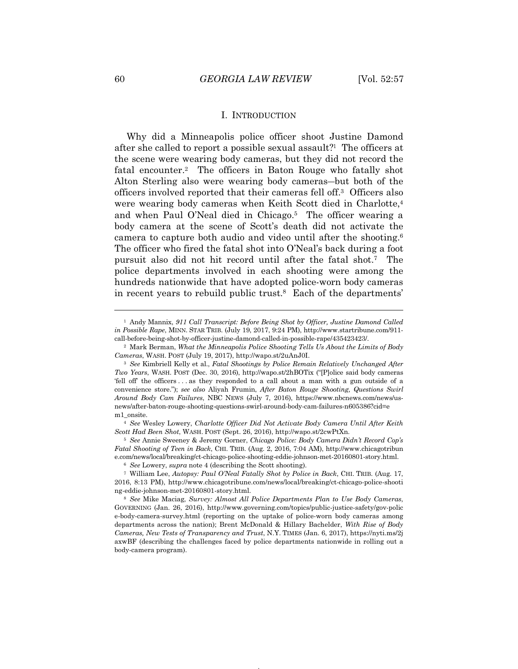#### I. INTRODUCTION

Why did a Minneapolis police officer shoot Justine Damond after she called to report a possible sexual assault?1 The officers at the scene were wearing body cameras, but they did not record the fatal encounter.2 The officers in Baton Rouge who fatally shot Alton Sterling also were wearing body cameras—but both of the officers involved reported that their cameras fell off.3 Officers also were wearing body cameras when Keith Scott died in Charlotte,<sup>4</sup> and when Paul O'Neal died in Chicago.5 The officer wearing a body camera at the scene of Scott's death did not activate the camera to capture both audio and video until after the shooting.6 The officer who fired the fatal shot into O'Neal's back during a foot pursuit also did not hit record until after the fatal shot.7 The police departments involved in each shooting were among the hundreds nationwide that have adopted police-worn body cameras in recent years to rebuild public trust.8 Each of the departments'

<sup>1</sup> Andy Mannix, *911 Call Transcript: Before Being Shot by Officer, Justine Damond Called in Possible Rape*, MINN. STAR TRIB. (July 19, 2017, 9:24 PM), http://www.startribune.com/911-

call-before-being-shot-by-officer-justine-damond-called-in-possible-rape/435423423/. 2 Mark Berman, *What the Minneapolis Police Shooting Tells Us About the Limits of Body Cameras*, WASH. POST (July 19, 2017), http://wapo.st/2uAnJ0I. 3 *See* Kimbriell Kelly et al., *Fatal Shootings by Police Remain Relatively Unchanged After* 

*Two Years*, WASH. POST (Dec. 30, 2016), http://wapo.st/2hBOTix ("[P]olice said body cameras 'fell off' the officers . . . as they responded to a call about a man with a gun outside of a convenience store."); *see also* Aliyah Frumin, *After Baton Rouge Shooting, Questions Swirl Around Body Cam Failures*, NBC NEWS (July 7, 2016), https://www.nbcnews.com/news/usnews/after-baton-rouge-shooting-questions-swirl-around-body-cam-failures-n605386?cid=e $\rm{m1\_onsite.}$ 

<sup>&</sup>lt;sup>4</sup> See Wesley Lowery, *Charlotte Officer Did Not Activate Body Camera Until After Keith Scott Had Been Shot*, WASH. POST (Sept. 26, 2016), http://wapo.st/2cwPtXn. 5 *See* Annie Sweeney & Jeremy Gorner, *Chicago Police: Body Camera Didn't Record Cop's* 

*Fatal Shooting of Teen in Back*, CHI. TRIB. (Aug. 2, 2016, 7:04 AM), http://www.chicagotribun e.com/news/local/breaking/ct-chicago-police-shooting-eddie-johnson-met-20160801-story.html. 6 *See* Lowery, *supra* note 4 (describing the Scott shooting).

<sup>7</sup> William Lee, *Autopsy: Paul O'Neal Fatally Shot by Police in Back*, CHI. TRIB. (Aug. 17, 2016, 8:13 PM), http://www.chicagotribune.com/news/local/breaking/ct-chicago-police-shooti ng-eddie-johnson-met-20160801-story.html. 8 *See* Mike Maciag, *Survey: Almost All Police Departments Plan to Use Body Cameras*,

GOVERNING (Jan. 26, 2016), http://www.governing.com/topics/public-justice-safety/gov-polic e-body-camera-survey.html (reporting on the uptake of police-worn body cameras among departments across the nation); Brent McDonald & Hillary Bachelder, *With Rise of Body Cameras, New Tests of Transparency and Trust*, N.Y. TIMES (Jan. 6, 2017), https://nyti.ms/2j axwBF (describing the challenges faced by police departments nationwide in rolling out a body-camera program).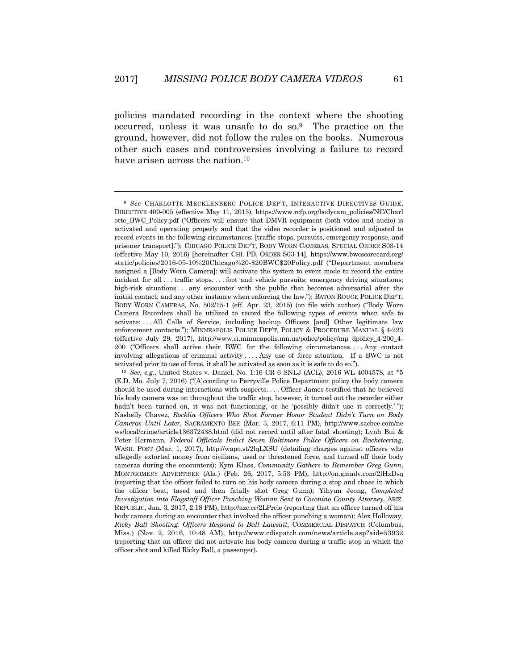$\overline{a}$ 

policies mandated recording in the context where the shooting occurred, unless it was unsafe to do so.9 The practice on the ground, however, did not follow the rules on the books. Numerous other such cases and controversies involving a failure to record have arisen across the nation.<sup>10</sup>

<sup>9</sup> *See* CHARLOTTE-MECKLENBERG POLICE DEP'T, INTERACTIVE DIRECTIVES GUIDE, DIRECTIVE 400-005 (effective May 11, 2015), https://www.rcfp.org/bodycam\_policies/NC/Charl otte\_BWC\_Policy.pdf ("Officers will ensure that DMVR equipment (both video and audio) is activated and operating properly and that the video recorder is positioned and adjusted to record events in the following circumstances: [traffic stops, pursuits, emergency response, and prisoner transport]."); CHICAGO POLICE DEP'T, BODY WORN CAMERAS, SPECIAL ORDER S03-14 (effective May 10, 2016) [hereinafter CHI. PD, ORDER S03-14], https://www.bwcscorecard.org/ static/policies/2016-05-10%20Chicago%20-\$20BWC\$20Policy.pdf ("Department members assigned a [Body Worn Camera]: will activate the system to event mode to record the entire incident for all . . . traffic stops. . . . foot and vehicle pursuits; emergency driving situations; high-risk situations . . . any encounter with the public that becomes adversarial after the initial contact; and any other instance when enforcing the law."); BATON ROUGE POLICE DEP'T, BODY WORN CAMERAS, No. 502/15-1 (eff. Apr. 23, 2015) (on file with author) ("Body Worn Camera Recorders shall be utilized to record the following types of events when safe to activate: . . . All Calls of Service, including backup Officers [and] Other legitimate law enforcement contacts."); MINNEAPOLIS POLICE DEP'T, POLICY & PROCEDURE MANUAL § 4-223 (effective July 29, 2017), http://www.ci.minneapolis.mn.us/police/policy/mp dpolicy\_4-200\_4- 200 ("Officers shall active their BWC for the following circumstances. . . . Any contact involving allegations of criminal activity . . . . Any use of force situation. If a BWC is not activated prior to use of force, it shall be activated as soon as it is safe to do so.").<br><sup>10</sup> *See, e.g.*, United States v. Daniel, No. 1:16 CR 6 SNLJ (ACL), 2016 WL 4004578, at \*5

<sup>(</sup>E.D. Mo. July 7, 2016) ("[A]ccording to Perryville Police Department policy the body camera should be used during interactions with suspects. . . . Officer James testified that he believed his body camera was on throughout the traffic stop, however, it turned out the recorder either hadn't been turned on, it was not functioning, or he 'possibly didn't use it correctly.'"); Nashelly Chavez, *Rocklin Officers Who Shot Former Honor Student Didn't Turn on Body Cameras Until Later*, SACRAMENTO BEE (Mar. 3, 2017, 6:11 PM), http://www.sacbee.com/ne ws/local/crime/article136372438.html (did not record until after fatal shooting); Lynh Bui & Peter Hermann, *Federal Officials Indict Seven Baltimore Police Officers on Racketeering*, WASH. POST (Mar. 1, 2017), http://wapo.st/2lqLXSU (detailing charges against officers who allegedly extorted money from civilians, used or threatened force, and turned off their body cameras during the encounters); Kym Klass, *Community Gathers to Remember Greg Gunn*, MONTGOMERY ADVERTISER (Ala.) (Feb. 26, 2017, 5:53 PM), http://on.gmadv.com/2lHxDsq (reporting that the officer failed to turn on his body camera during a stop and chase in which the officer beat, tased and then fatally shot Greg Gunn); Yihyun Jeong, *Completed Investigation into Flagstaff Officer Punching Woman Sent to Coconino County Attorney*, ARIZ. REPUBLIC, Jan. 3, 2017, 2:18 PM), http://azc.cc/2LPrcle (reporting that an officer turned off his body camera during an encounter that involved the officer punching a woman); Alex Holloway, *Ricky Ball Shooting: Officers Respond to Ball Lawsuit*, COMMERCIAL DISPATCH (Columbus, Miss.) (Nov. 2, 2016, 10:48 AM), http://www.cdispatch.com/news/article.asp?aid=53932 (reporting that an officer did not activate his body camera during a traffic stop in which the officer shot and killed Ricky Ball, a passenger).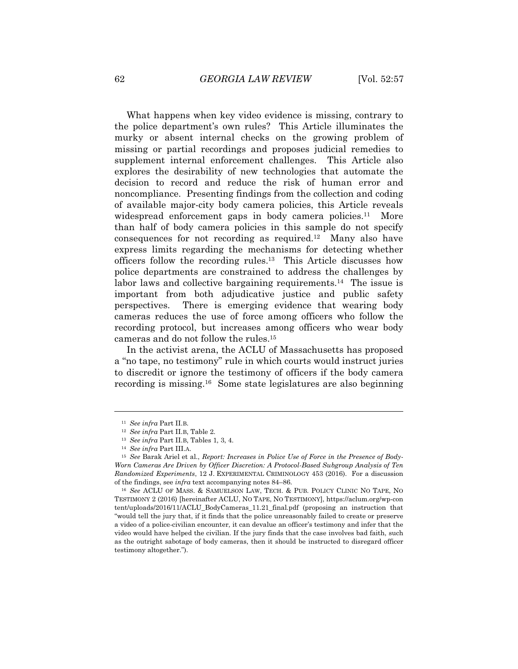What happens when key video evidence is missing, contrary to the police department's own rules? This Article illuminates the murky or absent internal checks on the growing problem of missing or partial recordings and proposes judicial remedies to supplement internal enforcement challenges. This Article also explores the desirability of new technologies that automate the decision to record and reduce the risk of human error and noncompliance. Presenting findings from the collection and coding of available major-city body camera policies, this Article reveals widespread enforcement gaps in body camera policies.<sup>11</sup> More than half of body camera policies in this sample do not specify consequences for not recording as required.12 Many also have express limits regarding the mechanisms for detecting whether officers follow the recording rules.13 This Article discusses how police departments are constrained to address the challenges by labor laws and collective bargaining requirements.<sup>14</sup> The issue is important from both adjudicative justice and public safety perspectives. There is emerging evidence that wearing body cameras reduces the use of force among officers who follow the recording protocol, but increases among officers who wear body cameras and do not follow the rules.15

In the activist arena, the ACLU of Massachusetts has proposed a "no tape, no testimony" rule in which courts would instruct juries to discredit or ignore the testimony of officers if the body camera recording is missing.16 Some state legislatures are also beginning

<sup>&</sup>lt;sup>11</sup> *See infra* Part II.B.<br><sup>12</sup> *See infra* Part II.B, Table 2.

<sup>&</sup>lt;sup>13</sup> *See infra Part II.B, Tables 1, 3, 4.* 

<sup>14</sup> *See infra* Part III.A.

<sup>15</sup> *See* Barak Ariel et al., *Report: Increases in Police Use of Force in the Presence of Body-Worn Cameras Are Driven by Officer Discretion: A Protocol-Based Subgroup Analysis of Ten Randomized Experiments*, 12 J. EXPERIMENTAL CRIMINOLOGY 453 (2016). For a discussion of the findings, see *infra* text accompanying notes 84–86.

<sup>&</sup>lt;sup>16</sup> See ACLU OF MASS. & SAMUELSON LAW, TECH. & PUB. POLICY CLINIC NO TAPE, NO TESTIMONY 2 (2016) [hereinafter ACLU, NO TAPE, NO TESTIMONY], https://aclum.org/wp-con tent/uploads/2016/11/ACLU\_BodyCameras\_11.21\_final.pdf (proposing an instruction that "would tell the jury that, if it finds that the police unreasonably failed to create or preserve a video of a police-civilian encounter, it can devalue an officer's testimony and infer that the video would have helped the civilian. If the jury finds that the case involves bad faith, such as the outright sabotage of body cameras, then it should be instructed to disregard officer testimony altogether.").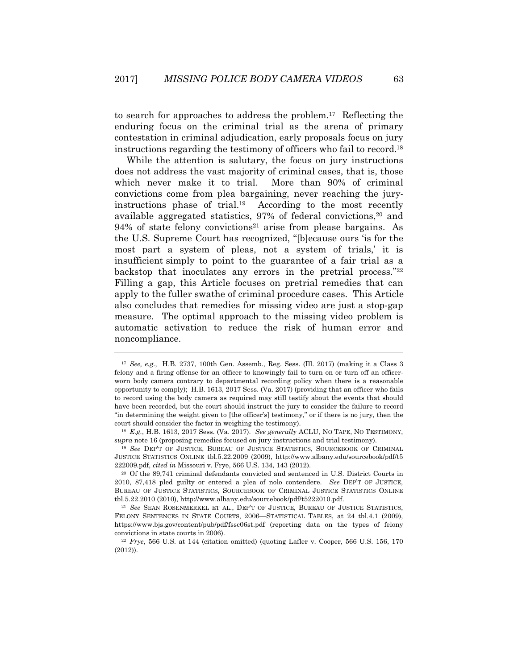to search for approaches to address the problem.17 Reflecting the enduring focus on the criminal trial as the arena of primary contestation in criminal adjudication, early proposals focus on jury instructions regarding the testimony of officers who fail to record.18

While the attention is salutary, the focus on jury instructions does not address the vast majority of criminal cases, that is, those which never make it to trial. More than 90% of criminal convictions come from plea bargaining, never reaching the juryinstructions phase of trial.19 According to the most recently available aggregated statistics, 97% of federal convictions,<sup>20</sup> and  $94\%$  of state felony convictions<sup>21</sup> arise from please bargains. As the U.S. Supreme Court has recognized, "[b]ecause ours 'is for the most part a system of pleas, not a system of trials,' it is insufficient simply to point to the guarantee of a fair trial as a backstop that inoculates any errors in the pretrial process."22 Filling a gap, this Article focuses on pretrial remedies that can apply to the fuller swathe of criminal procedure cases. This Article also concludes that remedies for missing video are just a stop-gap measure. The optimal approach to the missing video problem is automatic activation to reduce the risk of human error and noncompliance.

<sup>17</sup> *See, e.g.*, H.B. 2737, 100th Gen. Assemb., Reg. Sess. (Ill. 2017) (making it a Class 3 felony and a firing offense for an officer to knowingly fail to turn on or turn off an officerworn body camera contrary to departmental recording policy when there is a reasonable opportunity to comply); H.B. 1613, 2017 Sess. (Va. 2017) (providing that an officer who fails to record using the body camera as required may still testify about the events that should have been recorded, but the court should instruct the jury to consider the failure to record "in determining the weight given to [the officer's] testimony," or if there is no jury, then the court should consider the factor in weighing the testimony). 18 *E.g.*, H.B. 1613, 2017 Sess. (Va. 2017). *See generally* ACLU, NO TAPE, NO TESTIMONY,

*supra* note 16 (proposing remedies focused on jury instructions and trial testimony). 19 *See* DEP'T OF JUSTICE, BUREAU OF JUSTICE STATISTICS, SOURCEBOOK OF CRIMINAL

JUSTICE STATISTICS ONLINE tbl.5.22.2009 (2009), http://www.albany.edu/sourcebook/pdf/t5 222009.pdf, *cited in* Missouri v. Frye, 566 U.S. 134, 143 (2012). 20 Of the 89,741 criminal defendants convicted and sentenced in U.S. District Courts in

<sup>2010, 87,418</sup> pled guilty or entered a plea of nolo contendere. *See* DEP'T OF JUSTICE, BUREAU OF JUSTICE STATISTICS, SOURCEBOOK OF CRIMINAL JUSTICE STATISTICS ONLINE tbl.5.22.2010 (2010), http://www.albany.edu/sourcebook/pdf/t5222010.pdf. 21 *See* SEAN ROSENMERKEL ET AL., DEP'T OF JUSTICE, BUREAU OF JUSTICE STATISTICS,

FELONY SENTENCES IN STATE COURTS, 2006-STATISTICAL TABLES, at 24 tbl.4.1 (2009), https://www.bjs.gov/content/pub/pdf/fssc06st.pdf (reporting data on the types of felony convictions in state courts in 2006). 22 *Frye*, 566 U.S. at 144 (citation omitted) (quoting Lafler v. Cooper, 566 U.S. 156, 170

<sup>(2012)).</sup>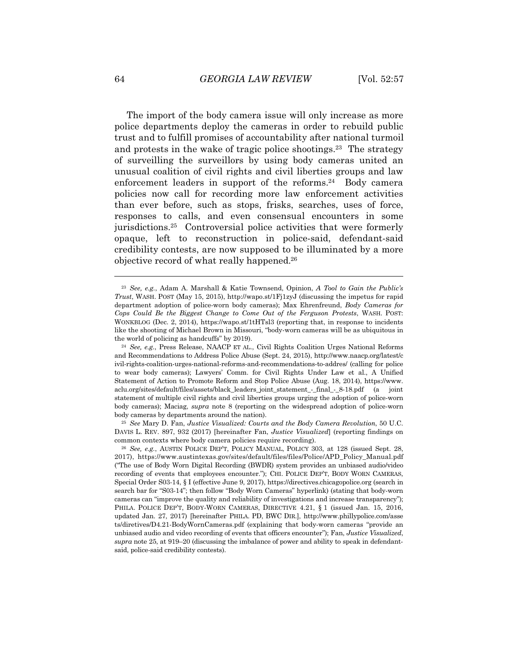The import of the body camera issue will only increase as more police departments deploy the cameras in order to rebuild public trust and to fulfill promises of accountability after national turmoil and protests in the wake of tragic police shootings.23 The strategy of surveilling the surveillors by using body cameras united an unusual coalition of civil rights and civil liberties groups and law enforcement leaders in support of the reforms.<sup>24</sup> Body camera policies now call for recording more law enforcement activities than ever before, such as stops, frisks, searches, uses of force, responses to calls, and even consensual encounters in some jurisdictions.25 Controversial police activities that were formerly opaque, left to reconstruction in police-said, defendant-said credibility contests, are now supposed to be illuminated by a more objective record of what really happened.26

DAVIS L. REV. 897, 932 (2017) [hereinafter Fan, *Justice Visualized*] (reporting findings on common contexts where body camera policies require recording). 26 *See, e.g.*, AUSTIN POLICE DEP'T, POLICY MANUAL, POLICY 303, at 128 (issued Sept. 28,

<sup>23</sup> *See, e.g.*, Adam A. Marshall & Katie Townsend, Opinion, *A Tool to Gain the Public's Trust*, WASH. POST (May 15, 2015), http://wapo.st/1Fj1zyJ (discussing the impetus for rapid department adoption of police-worn body cameras); Max Ehrenfreund, *Body Cameras for Cops Could Be the Biggest Change to Come Out of the Ferguson Protests*, WASH. POST: WONKBLOG (Dec. 2, 2014), https://wapo.st/1tHTsl3 (reporting that, in response to incidents like the shooting of Michael Brown in Missouri, "body-worn cameras will be as ubiquitous in the world of policing as handcuffs" by 2019). 24 *See, e.g.*, Press Release, NAACP ET AL., Civil Rights Coalition Urges National Reforms

and Recommendations to Address Police Abuse (Sept. 24, 2015), http://www.naacp.org/latest/c ivil-rights-coalition-urges-national-reforms-and-recommendations-to-addres/ (calling for police to wear body cameras); Lawyers' Comm. for Civil Rights Under Law et al., A Unified Statement of Action to Promote Reform and Stop Police Abuse (Aug. 18, 2014), https://www. aclu.org/sites/default/files/assets/black\_leaders\_joint\_statement\_-\_final\_-\_8-18.pdf (a joint statement of multiple civil rights and civil liberties groups urging the adoption of police-worn body cameras); Maciag, *supra* note 8 (reporting on the widespread adoption of police-worn body cameras by departments around the nation). 25 *See* Mary D. Fan, *Justice Visualized: Courts and the Body Camera Revolution*, 50 U.C.

<sup>2017),</sup> https://www.austintexas.gov/sites/default/files/files/Police/APD\_Policy\_Manual.pdf ("The use of Body Worn Digital Recording (BWDR) system provides an unbiased audio/video recording of events that employees encounter."); CHI. POLICE DEP'T, BODY WORN CAMERAS, Special Order S03-14, § I (effective June 9, 2017), https://directives.chicagopolice.org (search in search bar for "S03-14"; then follow "Body Worn Cameras" hyperlink) (stating that body-worn cameras can "improve the quality and reliability of investigations and increase transparency"); PHILA. POLICE DEP'T, BODY-WORN CAMERAS, DIRECTIVE 4.21, § 1 (issued Jan. 15, 2016, updated Jan. 27, 2017) [hereinafter PHILA. PD, BWC DIR.], http://www.phillypolice.com/asse ts/diretives/D4.21-BodyWornCameras.pdf (explaining that body-worn cameras "provide an unbiased audio and video recording of events that officers encounter"); Fan, *Justice Visualized*, *supra* note 25, at 919–20 (discussing the imbalance of power and ability to speak in defendantsaid, police-said credibility contests).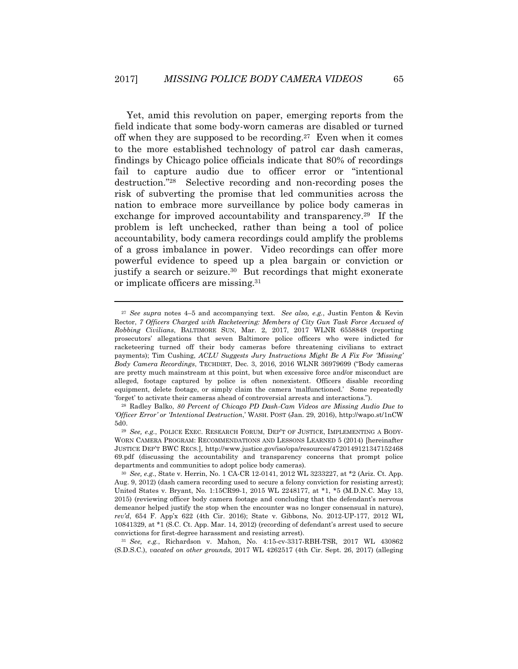Yet, amid this revolution on paper, emerging reports from the field indicate that some body-worn cameras are disabled or turned off when they are supposed to be recording.<sup>27</sup> Even when it comes to the more established technology of patrol car dash cameras, findings by Chicago police officials indicate that 80% of recordings fail to capture audio due to officer error or "intentional destruction."28 Selective recording and non-recording poses the risk of subverting the promise that led communities across the nation to embrace more surveillance by police body cameras in exchange for improved accountability and transparency.29 If the problem is left unchecked, rather than being a tool of police accountability, body camera recordings could amplify the problems of a gross imbalance in power. Video recordings can offer more powerful evidence to speed up a plea bargain or conviction or justify a search or seizure.<sup>30</sup> But recordings that might exonerate or implicate officers are missing.31

<sup>27</sup> *See supra* notes 4–5 and accompanying text. *See also, e.g.*, Justin Fenton & Kevin Rector, *7 Officers Charged with Racketeering: Members of City Gun Task Force Accused of Robbing Civilians*, BALTIMORE SUN, Mar. 2, 2017, 2017 WLNR 6558848 (reporting prosecutors' allegations that seven Baltimore police officers who were indicted for racketeering turned off their body cameras before threatening civilians to extract payments); Tim Cushing, *ACLU Suggests Jury Instructions Might Be A Fix For 'Missing' Body Camera Recordings*, TECHDIRT, Dec. 3, 2016, 2016 WLNR 36979699 ("Body cameras are pretty much mainstream at this point, but when excessive force and/or misconduct are alleged, footage captured by police is often nonexistent. Officers disable recording equipment, delete footage, or simply claim the camera 'malfunctioned.' Some repeatedly 'forget' to activate their cameras ahead of controversial arrests and interactions."). 28 Radley Balko, *80 Percent of Chicago PD Dash-Cam Videos are Missing Audio Due to* 

*<sup>&#</sup>x27;Officer Error' or 'Intentional Destruction*,' WASH. POST (Jan. 29, 2016), http://wapo.st/1nCW

<sup>5</sup>d0. 29 *See, e.g.*, POLICE EXEC. RESEARCH FORUM, DEP'T OF JUSTICE, IMPLEMENTING A BODY-WORN CAMERA PROGRAM: RECOMMENDATIONS AND LESSONS LEARNED 5 (2014) [hereinafter JUSTICE DEP'T BWC RECS.], http://www.justice.gov/iso/opa/resources/4720149121347152468 69.pdf (discussing the accountability and transparency concerns that prompt police departments and communities to adopt police body cameras). 30 *See, e.g.*, State v. Herrin, No. 1 CA-CR 12-0141, 2012 WL 3233227, at \*2 (Ariz. Ct. App.

Aug. 9, 2012) (dash camera recording used to secure a felony conviction for resisting arrest); United States v. Bryant, No. 1:15CR99-1, 2015 WL 2248177, at \*1, \*5 (M.D.N.C. May 13, 2015) (reviewing officer body camera footage and concluding that the defendant's nervous demeanor helped justify the stop when the encounter was no longer consensual in nature), *rev'd*, 654 F. App'x 622 (4th Cir. 2016); State v. Gibbons, No. 2012-UP-177, 2012 WL 10841329, at \*1 (S.C. Ct. App. Mar. 14, 2012) (recording of defendant's arrest used to secure

convictions for first-degree harassment and resisting arrest). 31 *See, e.g.*, Richardson v. Mahon, No. 4:15-cv-3317-RBH-TSR, 2017 WL 430862 (S.D.S.C.), *vacated on other grounds*, 2017 WL 4262517 (4th Cir. Sept. 26, 2017) (alleging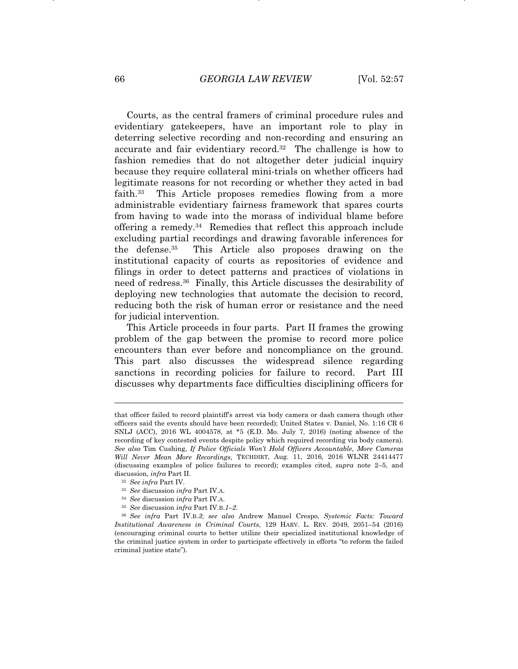Courts, as the central framers of criminal procedure rules and evidentiary gatekeepers, have an important role to play in deterring selective recording and non-recording and ensuring an accurate and fair evidentiary record.32 The challenge is how to fashion remedies that do not altogether deter judicial inquiry because they require collateral mini-trials on whether officers had legitimate reasons for not recording or whether they acted in bad faith.33 This Article proposes remedies flowing from a more administrable evidentiary fairness framework that spares courts from having to wade into the morass of individual blame before offering a remedy.34 Remedies that reflect this approach include excluding partial recordings and drawing favorable inferences for the defense.35 This Article also proposes drawing on the institutional capacity of courts as repositories of evidence and filings in order to detect patterns and practices of violations in need of redress.36 Finally, this Article discusses the desirability of deploying new technologies that automate the decision to record, reducing both the risk of human error or resistance and the need for judicial intervention.

This Article proceeds in four parts. Part II frames the growing problem of the gap between the promise to record more police encounters than ever before and noncompliance on the ground. This part also discusses the widespread silence regarding sanctions in recording policies for failure to record. Part III discusses why departments face difficulties disciplining officers for

that officer failed to record plaintiff's arrest via body camera or dash camera though other officers said the events should have been recorded); United States v. Daniel, No. 1:16 CR 6 SNLJ (ACC), 2016 WL 4004578, at \*5 (E.D. Mo. July 7, 2016) (noting absence of the recording of key contested events despite policy which required recording via body camera). *See also* Tim Cushing, *If Police Officials Won't Hold Officers Accountable, More Cameras Will Never Mean More Recordings*, TECHDIRT, Aug. 11, 2016, 2016 WLNR 24414477 (discussing examples of police failures to record); examples cited, *supra* note 2–5, and discussion, *infra* Part II. 32 *See infra* Part IV. 33 *See* discussion *infra* Part IV.A.

<sup>34</sup> *See* discussion *infra* Part IV.A.

<sup>35</sup> *See* discussion *infra* Part IV.B.*1*–*2*.

<sup>36</sup> *See infra* Part IV.B.*3*; *see also* Andrew Manuel Crespo, *Systemic Facts: Toward Institutional Awareness in Criminal Courts*, 129 HARV. L. REV. 2049, 2051–54 (2016) (encouraging criminal courts to better utilize their specialized institutional knowledge of the criminal justice system in order to participate effectively in efforts "to reform the failed criminal justice state").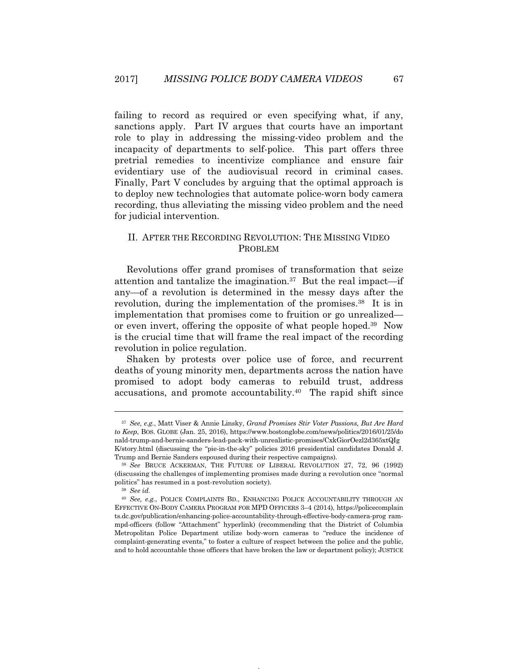failing to record as required or even specifying what, if any, sanctions apply. Part IV argues that courts have an important role to play in addressing the missing-video problem and the incapacity of departments to self-police. This part offers three pretrial remedies to incentivize compliance and ensure fair evidentiary use of the audiovisual record in criminal cases. Finally, Part V concludes by arguing that the optimal approach is to deploy new technologies that automate police-worn body camera recording, thus alleviating the missing video problem and the need for judicial intervention.

### II. AFTER THE RECORDING REVOLUTION: THE MISSING VIDEO PROBLEM

Revolutions offer grand promises of transformation that seize attention and tantalize the imagination.37 But the real impact—if any—of a revolution is determined in the messy days after the revolution, during the implementation of the promises.<sup>38</sup> It is in implementation that promises come to fruition or go unrealized or even invert, offering the opposite of what people hoped.39 Now is the crucial time that will frame the real impact of the recording revolution in police regulation.

Shaken by protests over police use of force, and recurrent deaths of young minority men, departments across the nation have promised to adopt body cameras to rebuild trust, address accusations, and promote accountability.40 The rapid shift since

<sup>37</sup> *See, e.g.*, Matt Viser & Annie Linsky, *Grand Promises Stir Voter Passions, But Are Hard to Keep*, BOS. GLOBE (Jan. 25, 2016), https://www.bostonglobe.com/news/politics/2016/01/25/do nald-trump-and-bernie-sanders-lead-pack-with-unrealistic-promises/CxkGiorOezl2d365xtQIg K/story.html (discussing the "pie-in-the-sky" policies 2016 presidential candidates Donald J.

Trump and Bernie Sanders espoused during their respective campaigns). 38 *See* BRUCE ACKERMAN, THE FUTURE OF LIBERAL REVOLUTION 27, 72, 96 (1992) (discussing the challenges of implementing promises made during a revolution once "normal politics" has resumed in a post-revolution society). 39 *See id.*

<sup>40</sup> *See, e.g.*, POLICE COMPLAINTS BD., ENHANCING POLICE ACCOUNTABILITY THROUGH AN EFFECTIVE ON-BODY CAMERA PROGRAM FOR MPD OFFICERS 3–4 (2014), https://policecomplain ts.dc.gov/publication/enhancing-police-accountability-through-effective-body-camera-prog rammpd-officers (follow "Attachment" hyperlink) (recommending that the District of Columbia Metropolitan Police Department utilize body-worn cameras to "reduce the incidence of complaint-generating events," to foster a culture of respect between the police and the public, and to hold accountable those officers that have broken the law or department policy); JUSTICE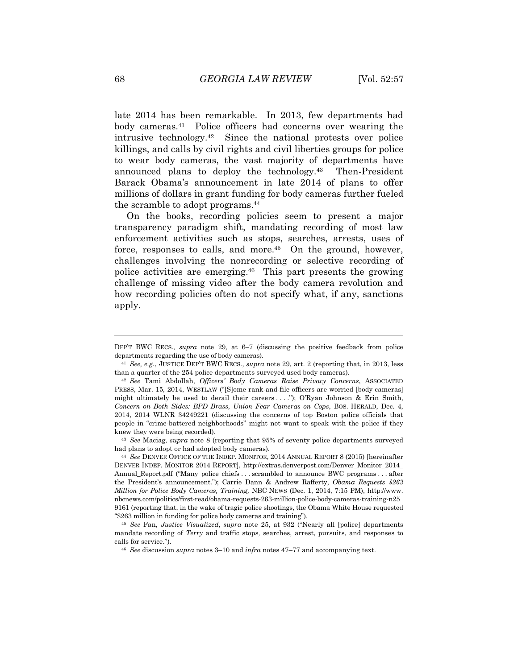late 2014 has been remarkable. In 2013, few departments had body cameras.41 Police officers had concerns over wearing the intrusive technology.42 Since the national protests over police killings, and calls by civil rights and civil liberties groups for police to wear body cameras, the vast majority of departments have announced plans to deploy the technology.43 Then-President Barack Obama's announcement in late 2014 of plans to offer millions of dollars in grant funding for body cameras further fueled the scramble to adopt programs.44

On the books, recording policies seem to present a major transparency paradigm shift, mandating recording of most law enforcement activities such as stops, searches, arrests, uses of force, responses to calls, and more.<sup>45</sup> On the ground, however, challenges involving the nonrecording or selective recording of police activities are emerging.46 This part presents the growing challenge of missing video after the body camera revolution and how recording policies often do not specify what, if any, sanctions apply.

had plans to adopt or had adopted body cameras).

DEP'T BWC RECS., *supra* note 29, at 6–7 (discussing the positive feedback from police departments regarding the use of body cameras). 41 *See, e.g.*, JUSTICE DEP'T BWC RECS., *supra* note 29, art. 2 (reporting that, in 2013, less

than a quarter of the 254 police departments surveyed used body cameras). 42 *See* Tami Abdollah, *Officers' Body Cameras Raise Privacy Concerns*, ASSOCIATED

PRESS, Mar. 15, 2014, WESTLAW ("[S]ome rank-and-file officers are worried [body cameras] might ultimately be used to derail their careers . . . ."); O'Ryan Johnson & Erin Smith, *Concern on Both Sides: BPD Brass, Union Fear Cameras on Cops*, BOS. HERALD, Dec. 4, 2014, 2014 WLNR 34249221 (discussing the concerns of top Boston police officials that people in "crime-battered neighborhoods" might not want to speak with the police if they knew they were being recorded). 43 *See* Maciag, *supra* note 8 (reporting that 95% of seventy police departments surveyed

<sup>44</sup> *See* DENVER OFFICE OF THE INDEP. MONITOR, 2014 ANNUAL REPORT 8 (2015) [hereinafter DENVER INDEP. MONITOR 2014 REPORT], http://extras.denverpost.com/Denver\_Monitor\_2014\_ Annual\_Report.pdf ("Many police chiefs . . . scrambled to announce BWC programs . . . after the President's announcement."); Carrie Dann & Andrew Rafferty, *Obama Requests \$263 Million for Police Body Cameras, Training,* NBC NEWS (Dec. 1, 2014, 7:15 PM), http://www. nbcnews.com/politics/first-read/obama-requests-263-million-police-body-cameras-training-n25 9161 (reporting that, in the wake of tragic police shootings, the Obama White House requested "\$263 million in funding for police body cameras and training"). 45 *See* Fan, *Justice Visualized*, *supra* note 25, at 932 ("Nearly all [police] departments

mandate recording of *Terry* and traffic stops, searches, arrest, pursuits, and responses to calls for service."). 46 *See* discussion *supra* notes 3–10 and *infra* notes 47–77 and accompanying text.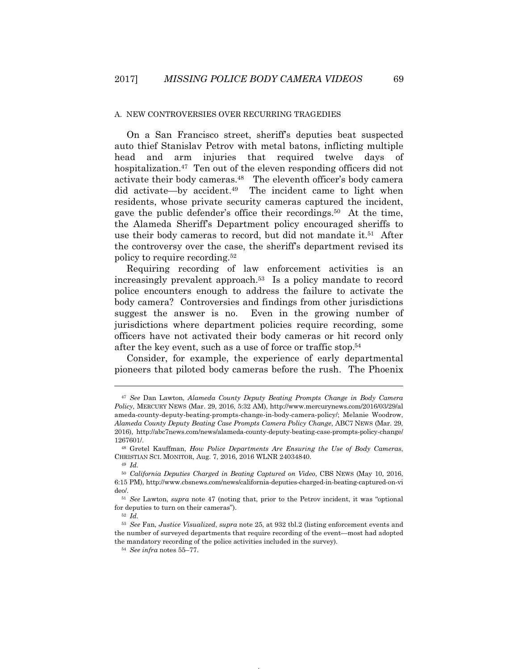#### A. NEW CONTROVERSIES OVER RECURRING TRAGEDIES

On a San Francisco street, sheriff's deputies beat suspected auto thief Stanislav Petrov with metal batons, inflicting multiple head and arm injuries that required twelve days of hospitalization.<sup>47</sup> Ten out of the eleven responding officers did not activate their body cameras.48 The eleventh officer's body camera did activate—by accident.49 The incident came to light when residents, whose private security cameras captured the incident, gave the public defender's office their recordings.50 At the time, the Alameda Sheriff's Department policy encouraged sheriffs to use their body cameras to record, but did not mandate it.<sup>51</sup> After the controversy over the case, the sheriff's department revised its policy to require recording.52

Requiring recording of law enforcement activities is an increasingly prevalent approach.53 Is a policy mandate to record police encounters enough to address the failure to activate the body camera? Controversies and findings from other jurisdictions suggest the answer is no. Even in the growing number of jurisdictions where department policies require recording, some officers have not activated their body cameras or hit record only after the key event, such as a use of force or traffic stop.54

Consider, for example, the experience of early departmental pioneers that piloted body cameras before the rush. The Phoenix

<sup>47</sup> *See* Dan Lawton, *Alameda County Deputy Beating Prompts Change in Body Camera Policy*, MERCURY NEWS (Mar. 29, 2016, 5:32 AM), http://www.mercurynews.com/2016/03/29/al ameda-county-deputy-beating-prompts-change-in-body-camera-policy/; Melanie Woodrow, *Alameda County Deputy Beating Case Prompts Camera Policy Change*, ABC7 NEWS (Mar. 29, 2016), http://abc7news.com/news/alameda-county-deputy-beating-case-prompts-policy-change/ 1267601/. 48 Gretel Kauffman, *How Police Departments Are Ensuring the Use of Body Cameras*,

CHRISTIAN SCI. MONITOR, Aug. 7, 2016, 2016 WLNR 24034840. 49 *Id.*

<sup>50</sup> *California Deputies Charged in Beating Captured on Video*, CBS NEWS (May 10, 2016, 6:15 PM), http://www.cbsnews.com/news/california-deputies-charged-in-beating-captured-on-vi deo/. 51 *See* Lawton, *supra* note 47 (noting that, prior to the Petrov incident, it was "optional

for deputies to turn on their cameras"). 52 *Id.*

<sup>53</sup> *See* Fan, *Justice Visualized*, *supra* note 25, at 932 tbl.2 (listing enforcement events and the number of surveyed departments that require recording of the event—most had adopted the mandatory recording of the police activities included in the survey). 54 *See infra* notes 55–77.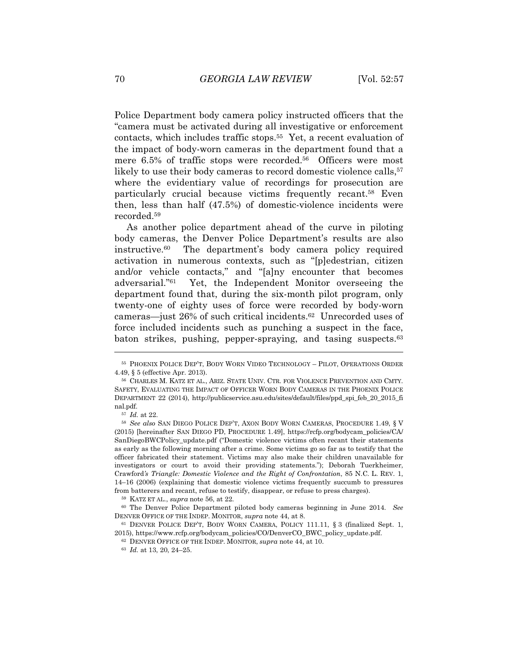Police Department body camera policy instructed officers that the "camera must be activated during all investigative or enforcement contacts, which includes traffic stops.55 Yet, a recent evaluation of the impact of body-worn cameras in the department found that a mere 6.5% of traffic stops were recorded.<sup>56</sup> Officers were most likely to use their body cameras to record domestic violence calls.<sup>57</sup> where the evidentiary value of recordings for prosecution are particularly crucial because victims frequently recant.58 Even then, less than half (47.5%) of domestic-violence incidents were recorded.59

As another police department ahead of the curve in piloting body cameras, the Denver Police Department's results are also instructive.60 The department's body camera policy required activation in numerous contexts, such as "[p]edestrian, citizen and/or vehicle contacts," and "[a]ny encounter that becomes adversarial."61 Yet, the Independent Monitor overseeing the department found that, during the six-month pilot program, only twenty-one of eighty uses of force were recorded by body-worn cameras—just 26% of such critical incidents.62 Unrecorded uses of force included incidents such as punching a suspect in the face, baton strikes, pushing, pepper-spraying, and tasing suspects.<sup>63</sup>

<sup>55</sup> PHOENIX POLICE DEP'T, BODY WORN VIDEO TECHNOLOGY – PILOT, OPERATIONS ORDER 4.49, § 5 (effective Apr. 2013). 56 CHARLES M. KATZ ET AL., ARIZ. STATE UNIV. CTR. FOR VIOLENCE PREVENTION AND CMTY.

SAFETY, EVALUATING THE IMPACT OF OFFICER WORN BODY CAMERAS IN THE PHOENIX POLICE DEPARTMENT 22 (2014), http://publicservice.asu.edu/sites/default/files/ppd\_spi\_feb\_20\_2015\_fi nal.pdf. 57 *Id.* at 22.

<sup>58</sup> *See also* SAN DIEGO POLICE DEP'T, AXON BODY WORN CAMERAS, PROCEDURE 1.49, § V (2015) [hereinafter SAN DIEGO PD, PROCEDURE 1.49], https://rcfp.org/bodycam\_policies/CA/ SanDiegoBWCPolicy\_update.pdf ("Domestic violence victims often recant their statements as early as the following morning after a crime. Some victims go so far as to testify that the officer fabricated their statement. Victims may also make their children unavailable for investigators or court to avoid their providing statements."); Deborah Tuerkheimer, Crawford*'s Triangle: Domestic Violence and the Right of Confrontation*, 85 N.C. L. REV. 1, 14–16 (2006) (explaining that domestic violence victims frequently succumb to pressures from batterers and recant, refuse to testify, disappear, or refuse to press charges). 59 KATZ ET AL., *supra* note 56, at 22. 60 The Denver Police Department piloted body cameras beginning in June 2014. *See*

DENVER OFFICE OF THE INDEP. MONITOR, *supra* note 44, at 8.<br><sup>61</sup> DENVER POLICE DEP'T, BODY WORN CAMERA, POLICY 111.11, § 3 (finalized Sept. 1,

<sup>2015),</sup> https://www.rcfp.org/bodycam\_policies/CO/DenverCO\_BWC\_policy\_update.pdf. 62 DENVER OFFICE OF THE INDEP. MONITOR, *supra* note 44, at 10.

<sup>63</sup> *Id.* at 13, 20, 24–25.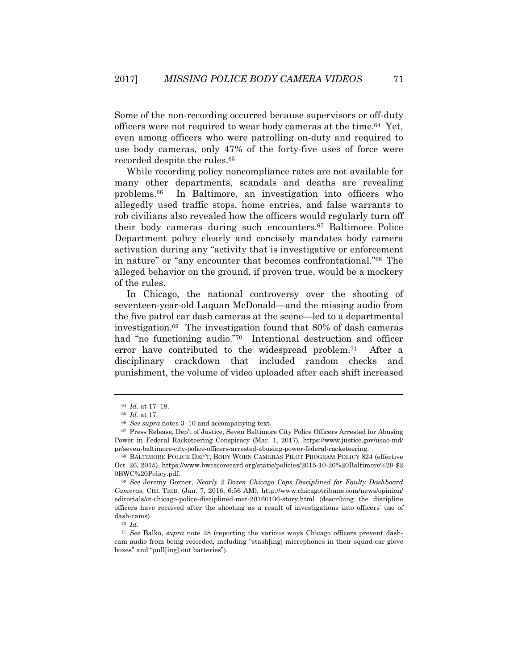Some of the non-recording occurred because supervisors or off-duty officers were not required to wear body cameras at the time.64 Yet, even among officers who were patrolling on-duty and required to use body cameras, only 47% of the forty-five uses of force were recorded despite the rules.<sup>65</sup>

While recording policy noncompliance rates are not available for many other departments, scandals and deaths are revealing problems.66 In Baltimore, an investigation into officers who allegedly used traffic stops, home entries, and false warrants to rob civilians also revealed how the officers would regularly turn off their body cameras during such encounters.67 Baltimore Police Department policy clearly and concisely mandates body camera activation during any "activity that is investigative or enforcement in nature" or "any encounter that becomes confrontational."68 The alleged behavior on the ground, if proven true, would be a mockery of the rules.

In Chicago, the national controversy over the shooting of seventeen-year-old Laquan McDonald—and the missing audio from the five patrol car dash cameras at the scene—led to a departmental investigation.69 The investigation found that 80% of dash cameras had "no functioning audio."70 Intentional destruction and officer error have contributed to the widespread problem.71 After a disciplinary crackdown that included random checks and punishment, the volume of video uploaded after each shift increased

<sup>64</sup> *Id.* at 17–18. 65 *Id.* at 17.

<sup>&</sup>lt;sup>66</sup> See supra notes 3–10 and accompanying text.<br><sup>67</sup> Press Release, Dep't of Justice, Seven Baltimore City Police Officers Arrested for Abusing Power in Federal Racketeering Conspiracy (Mar. 1, 2017), https://www.justice.gov/usao-md/ pr/seven-baltimore-city-police-officers-arrested-abusing-power-federal-racketeering. 68 BALTIMORE POLICE DEP'T, BODY WORN CAMERAS PILOT PROGRAM POLICY 824 (effective

Oct. 26, 2015), https://www.bwcscorecard.org/static/policies/2015-10-26%20Baltimore%20-\$2 0BWC%20Policy.pdf. 69 *See* Jeremy Gorner, *Nearly 2 Dozen Chicago Cops Disciplined for Faulty Dashboard* 

*Cameras*, CHI. TRIB. (Jan. 7, 2016, 6:56 AM), http://www.chicagotribune.com/news/opinion/ editorials/ct-chicago-police-disciplined-met-20160106-story.html (describing the discipline officers have received after the shooting as a result of investigations into officers' use of dash-cams).  $^{70}$   $\emph{Id.}$ 

<sup>71</sup> *See* Balko, *supra* note 28 (reporting the various ways Chicago officers prevent dashcam audio from being recorded, including "stash[ing] microphones in their squad car glove boxes" and "pull[ing] out batteries").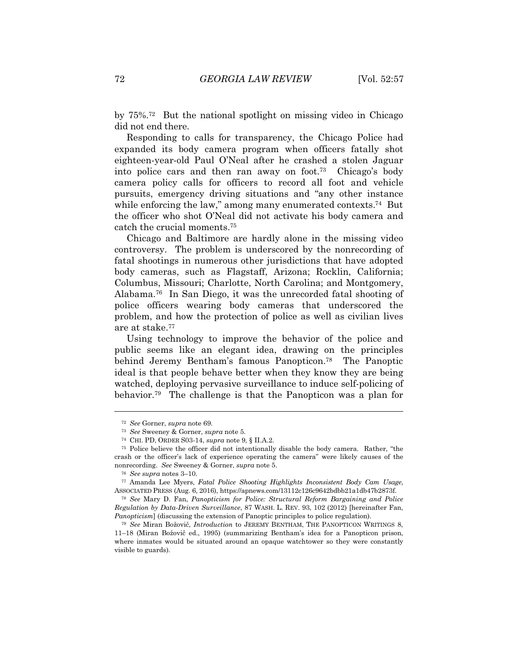by 75%.72 But the national spotlight on missing video in Chicago did not end there.

Responding to calls for transparency, the Chicago Police had expanded its body camera program when officers fatally shot eighteen-year-old Paul O'Neal after he crashed a stolen Jaguar into police cars and then ran away on foot.73 Chicago's body camera policy calls for officers to record all foot and vehicle pursuits, emergency driving situations and "any other instance while enforcing the law," among many enumerated contexts.<sup>74</sup> But the officer who shot O'Neal did not activate his body camera and catch the crucial moments.75

Chicago and Baltimore are hardly alone in the missing video controversy. The problem is underscored by the nonrecording of fatal shootings in numerous other jurisdictions that have adopted body cameras, such as Flagstaff, Arizona; Rocklin, California; Columbus, Missouri; Charlotte, North Carolina; and Montgomery, Alabama.76 In San Diego, it was the unrecorded fatal shooting of police officers wearing body cameras that underscored the problem, and how the protection of police as well as civilian lives are at stake.77

Using technology to improve the behavior of the police and public seems like an elegant idea, drawing on the principles behind Jeremy Bentham's famous Panopticon.78 The Panoptic ideal is that people behave better when they know they are being watched, deploying pervasive surveillance to induce self-policing of behavior.79 The challenge is that the Panopticon was a plan for

<sup>72</sup> *See* Gorner, *supra* note 69. 73 *See* Sweeney & Gorner, *supra* note 5. 74 CHI. PD, ORDER S03-14, *supra* note 9, § II.A.2.

<sup>75</sup> Police believe the officer did not intentionally disable the body camera. Rather, "the crash or the officer's lack of experience operating the camera" were likely causes of the nonrecording. *See* Sweeney & Gorner, *supra* note 5. 76 *See supra* notes 3–10. 77 Amanda Lee Myers, *Fatal Police Shooting Highlights Inconsistent Body Cam Usage*,

ASSOCIATED PRESS (Aug. 6, 2016), https://apnews.com/13112c126c9642bdbb21a1db47b2873f.

<sup>78</sup> *See* Mary D. Fan, *Panopticism for Police: Structural Reform Bargaining and Police Regulation by Data-Driven Surveillance*, 87 WASH. L. REV. 93, 102 (2012) [hereinafter Fan, *Panopticism*] (discussing the extension of Panoptic principles to police regulation).<br><sup>79</sup> *See* Miran Božovič, *Introduction* to JEREMY BENTHAM, THE PANOPTICON WRITINGS 8,

<sup>11–18 (</sup>Miran BožoviĀ ed., 1995) (summarizing Bentham's idea for a Panopticon prison, where inmates would be situated around an opaque watchtower so they were constantly visible to guards).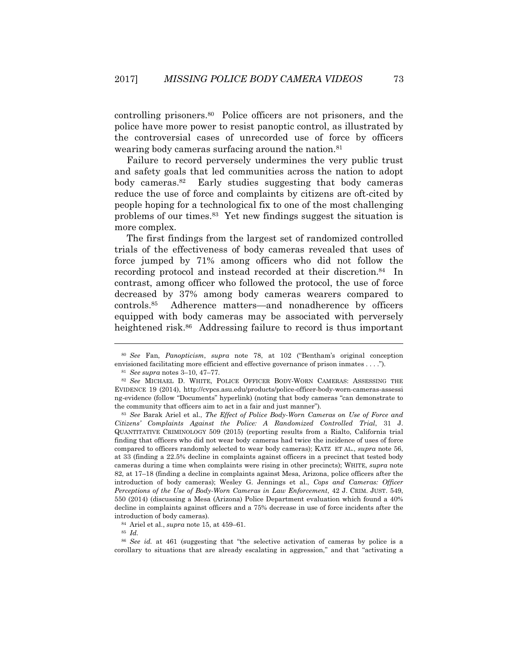controlling prisoners.80 Police officers are not prisoners, and the police have more power to resist panoptic control, as illustrated by the controversial cases of unrecorded use of force by officers wearing body cameras surfacing around the nation.<sup>81</sup>

Failure to record perversely undermines the very public trust and safety goals that led communities across the nation to adopt body cameras.82 Early studies suggesting that body cameras reduce the use of force and complaints by citizens are oft-cited by people hoping for a technological fix to one of the most challenging problems of our times.83 Yet new findings suggest the situation is more complex.

The first findings from the largest set of randomized controlled trials of the effectiveness of body cameras revealed that uses of force jumped by 71% among officers who did not follow the recording protocol and instead recorded at their discretion.<sup>84</sup> In contrast, among officer who followed the protocol, the use of force decreased by 37% among body cameras wearers compared to controls.85 Adherence matters—and nonadherence by officers equipped with body cameras may be associated with perversely heightened risk.<sup>86</sup> Addressing failure to record is thus important

<sup>80</sup> *See* Fan, *Panopticism*, *supra* note 78, at 102 ("Bentham's original conception envisioned facilitating more efficient and effective governance of prison inmates . . . .").<br><sup>81</sup> *See supra* notes 3–10, 47–77.<br><sup>82</sup> *See* MICHAEL D. WHITE, POLICE OFFICER BODY-WORN CAMERAS: ASSESSING THE

EVIDENCE 19 (2014), http://cvpcs.asu.edu/products/police-officer-body-worn-cameras-assessi ng-evidence (follow "Documents" hyperlink) (noting that body cameras "can demonstrate to the community that officers aim to act in a fair and just manner"). 83 *See* Barak Ariel et al., *The Effect of Police Body-Worn Cameras on Use of Force and* 

*Citizens' Complaints Against the Police: A Randomized Controlled Trial*, 31 J. QUANTITATIVE CRIMINOLOGY 509 (2015) (reporting results from a Rialto, California trial finding that officers who did not wear body cameras had twice the incidence of uses of force compared to officers randomly selected to wear body cameras); KATZ ET AL., *supra* note 56, at 33 (finding a 22.5% decline in complaints against officers in a precinct that tested body cameras during a time when complaints were rising in other precincts); WHITE, *supra* note 82, at 17–18 (finding a decline in complaints against Mesa, Arizona, police officers after the introduction of body cameras); Wesley G. Jennings et al., *Cops and Cameras: Officer Perceptions of the Use of Body-Worn Cameras in Law Enforcement*, 42 J. CRIM. JUST. 549, 550 (2014) (discussing a Mesa (Arizona) Police Department evaluation which found a 40% decline in complaints against officers and a 75% decrease in use of force incidents after the introduction of body cameras).

<sup>84</sup> Ariel et al., *supra* note 15, at 459–61. 85 *Id.*

<sup>86</sup> *See id.* at 461 (suggesting that "the selective activation of cameras by police is a corollary to situations that are already escalating in aggression," and that "activating a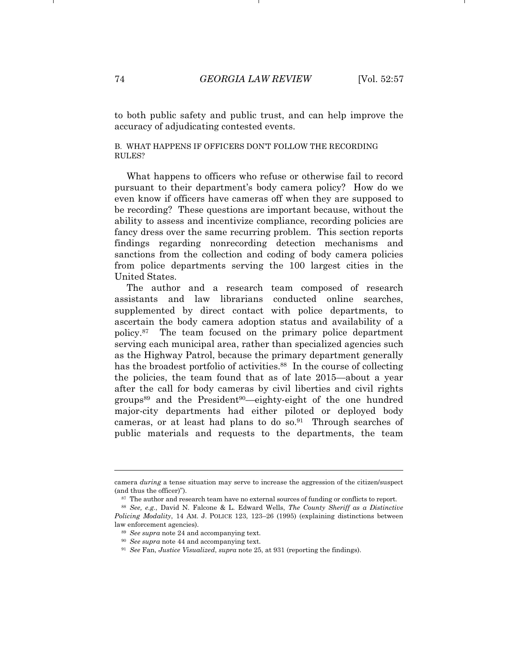to both public safety and public trust, and can help improve the accuracy of adjudicating contested events.

#### B. WHAT HAPPENS IF OFFICERS DON'T FOLLOW THE RECORDING RULES?

What happens to officers who refuse or otherwise fail to record pursuant to their department's body camera policy? How do we even know if officers have cameras off when they are supposed to be recording? These questions are important because, without the ability to assess and incentivize compliance, recording policies are fancy dress over the same recurring problem. This section reports findings regarding nonrecording detection mechanisms and sanctions from the collection and coding of body camera policies from police departments serving the 100 largest cities in the United States.

The author and a research team composed of research assistants and law librarians conducted online searches, supplemented by direct contact with police departments, to ascertain the body camera adoption status and availability of a policy.87 The team focused on the primary police department serving each municipal area, rather than specialized agencies such as the Highway Patrol, because the primary department generally has the broadest portfolio of activities.<sup>88</sup> In the course of collecting the policies, the team found that as of late 2015—about a year after the call for body cameras by civil liberties and civil rights groups<sup>89</sup> and the President<sup>90</sup>—eighty-eight of the one hundred major-city departments had either piloted or deployed body cameras, or at least had plans to do so. $91$  Through searches of public materials and requests to the departments, the team

camera *during* a tense situation may serve to increase the aggression of the citizen/suspect (and thus the officer)").  $87$  The author and research team have no external sources of funding or conflicts to report.

<sup>88</sup> *See, e.g.*, David N. Falcone & L. Edward Wells, *The County Sheriff as a Distinctive Policing Modality*, 14 AM. J. POLICE 123, 123–26 (1995) (explaining distinctions between law enforcement agencies). 89 *See supra* note 24 and accompanying text. 90 *See supra* note 44 and accompanying text.

<sup>91</sup> *See* Fan, *Justice Visualized*, *supra* note 25, at 931 (reporting the findings).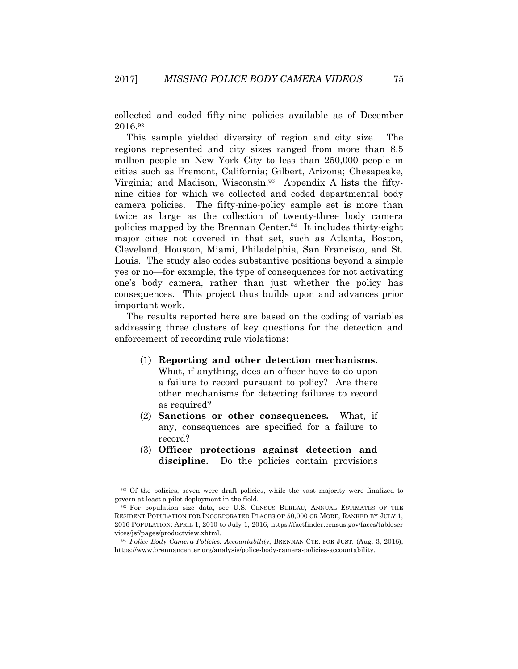collected and coded fifty-nine policies available as of December 2016.92

This sample yielded diversity of region and city size. The regions represented and city sizes ranged from more than 8.5 million people in New York City to less than 250,000 people in cities such as Fremont, California; Gilbert, Arizona; Chesapeake, Virginia; and Madison, Wisconsin.93 Appendix A lists the fiftynine cities for which we collected and coded departmental body camera policies. The fifty-nine-policy sample set is more than twice as large as the collection of twenty-three body camera policies mapped by the Brennan Center.94 It includes thirty-eight major cities not covered in that set, such as Atlanta, Boston, Cleveland, Houston, Miami, Philadelphia, San Francisco, and St. Louis. The study also codes substantive positions beyond a simple yes or no—for example, the type of consequences for not activating one's body camera, rather than just whether the policy has consequences. This project thus builds upon and advances prior important work.

The results reported here are based on the coding of variables addressing three clusters of key questions for the detection and enforcement of recording rule violations:

- (1) **Reporting and other detection mechanisms.** What, if anything, does an officer have to do upon a failure to record pursuant to policy? Are there other mechanisms for detecting failures to record as required?
- (2) **Sanctions or other consequences.** What, if any, consequences are specified for a failure to record?
- (3) **Officer protections against detection and discipline.** Do the policies contain provisions

<sup>&</sup>lt;sup>92</sup> Of the policies, seven were draft policies, while the vast majority were finalized to govern at least a pilot deployment in the field.<br><sup>93</sup> For population size data, see U.S. CENSUS BUREAU, ANNUAL ESTIMATES OF THE

RESIDENT POPULATION FOR INCORPORATED PLACES OF 50,000 OR MORE, RANKED BY JULY 1, 2016 POPULATION: APRIL 1, 2010 to July 1, 2016, https://factfinder.census.gov/faces/tableser vices/jsf/pages/productview.xhtml. 94 *Police Body Camera Policies: Accountability*, BRENNAN CTR. FOR JUST. (Aug. 3, 2016),

https://www.brennancenter.org/analysis/police-body-camera-policies-accountability.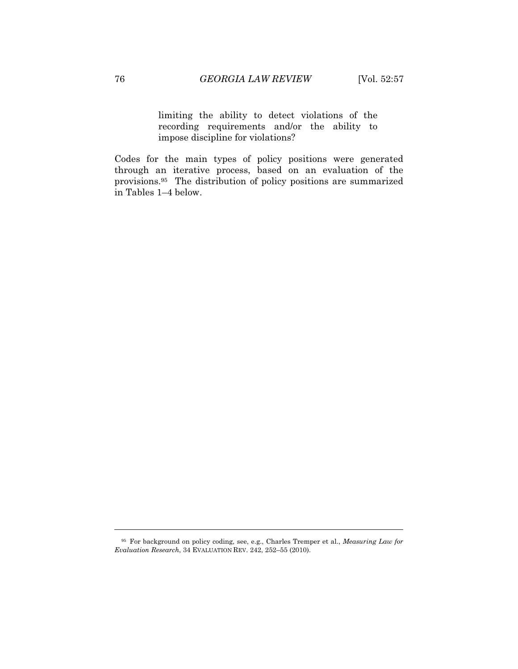limiting the ability to detect violations of the recording requirements and/or the ability to impose discipline for violations?

Codes for the main types of policy positions were generated through an iterative process, based on an evaluation of the provisions.95 The distribution of policy positions are summarized in Tables 1–4 below.

<sup>95</sup> For background on policy coding, see, e.g., Charles Tremper et al., *Measuring Law for Evaluation Research*, 34 EVALUATION REV. 242, 252–55 (2010).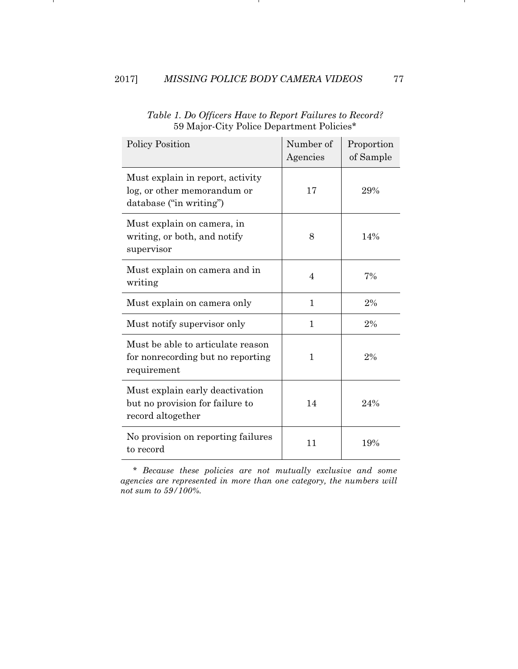л.

| <b>Policy Position</b>                                                                     | Number of<br>Agencies | Proportion<br>of Sample |
|--------------------------------------------------------------------------------------------|-----------------------|-------------------------|
| Must explain in report, activity<br>log, or other memorandum or<br>database ("in writing") | 17                    | 29%                     |
| Must explain on camera, in<br>writing, or both, and notify<br>supervisor                   | 8                     | 14%                     |
| Must explain on camera and in<br>writing                                                   | $\overline{4}$        | 7%                      |
| Must explain on camera only                                                                | 1                     | 2%                      |
| Must notify supervisor only                                                                | 1                     | 2%                      |
| Must be able to articulate reason<br>for nonrecording but no reporting<br>requirement      | 1                     | 2%                      |
| Must explain early deactivation<br>but no provision for failure to<br>record altogether    | 14                    | 24%                     |
| No provision on reporting failures<br>to record                                            | 11                    | 19%                     |

*Table 1. Do Officers Have to Report Failures to Record?*  59 Major-City Police Department Policies\*

л.

*\* Because these policies are not mutually exclusive and some agencies are represented in more than one category, the numbers will not sum to 59/100%.*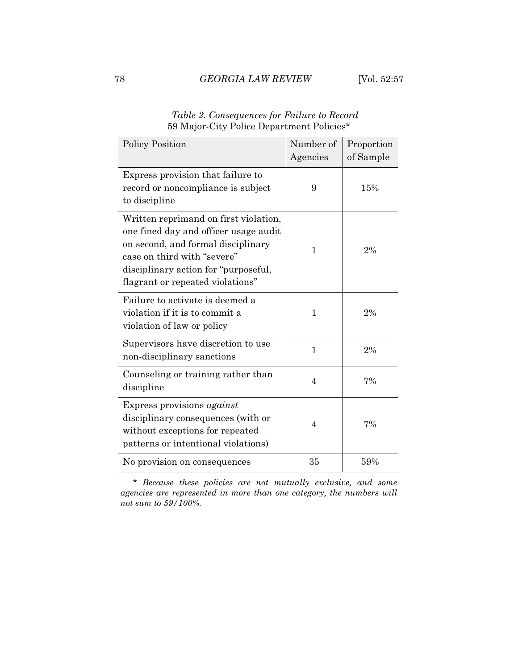| <b>Policy Position</b>                                                                                                                                                                                                          | Number of<br>Agencies | Proportion<br>of Sample |
|---------------------------------------------------------------------------------------------------------------------------------------------------------------------------------------------------------------------------------|-----------------------|-------------------------|
| Express provision that failure to<br>record or noncompliance is subject<br>to discipline                                                                                                                                        | 9                     | 15%                     |
| Written reprimand on first violation,<br>one fined day and officer usage audit<br>on second, and formal disciplinary<br>case on third with "severe"<br>disciplinary action for "purposeful,<br>flagrant or repeated violations" | 1                     | 2%                      |
| Failure to activate is deemed a<br>violation if it is to commit a<br>violation of law or policy                                                                                                                                 | 1                     | 2%                      |
| Supervisors have discretion to use<br>non-disciplinary sanctions                                                                                                                                                                | $\mathbf{1}$          | 2%                      |
| Counseling or training rather than<br>discipline                                                                                                                                                                                | 4                     | 7%                      |
| Express provisions against<br>disciplinary consequences (with or<br>without exceptions for repeated<br>patterns or intentional violations)                                                                                      | 4                     | 7%                      |
| No provision on consequences                                                                                                                                                                                                    | 35                    | 59%                     |

*Table 2. Consequences for Failure to Record*  59 Major-City Police Department Policies\*

*\* Because these policies are not mutually exclusive, and some agencies are represented in more than one category, the numbers will not sum to 59/100%.*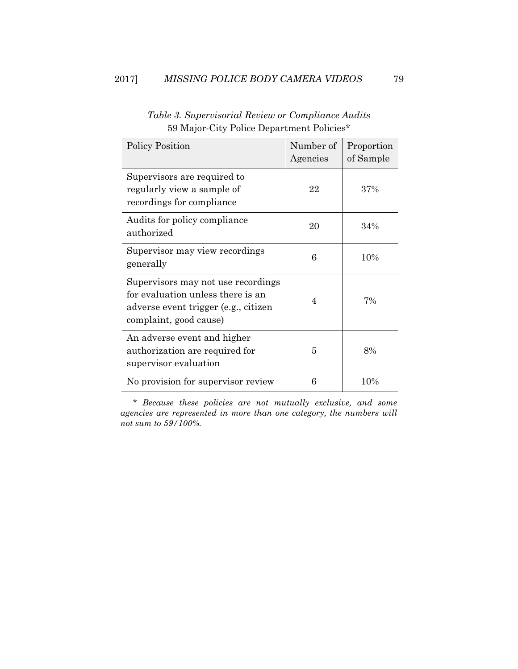| Policy Position                                                                                                                           | Number of<br>Agencies | Proportion<br>of Sample |
|-------------------------------------------------------------------------------------------------------------------------------------------|-----------------------|-------------------------|
| Supervisors are required to<br>regularly view a sample of<br>recordings for compliance                                                    | 22                    | 37%                     |
| Audits for policy compliance<br>authorized                                                                                                | 20                    | 34%                     |
| Supervisor may view recordings<br>generally                                                                                               | 6                     | 10%                     |
| Supervisors may not use recordings<br>for evaluation unless there is an<br>adverse event trigger (e.g., citizen<br>complaint, good cause) | 4                     | 7%                      |
| An adverse event and higher<br>authorization are required for<br>supervisor evaluation                                                    | 5                     | 8%                      |
| No provision for supervisor review                                                                                                        | 6                     | 10%                     |

*Table 3. Supervisorial Review or Compliance Audits*  59 Major-City Police Department Policies\*

*\* Because these policies are not mutually exclusive, and some agencies are represented in more than one category, the numbers will not sum to 59/100%.*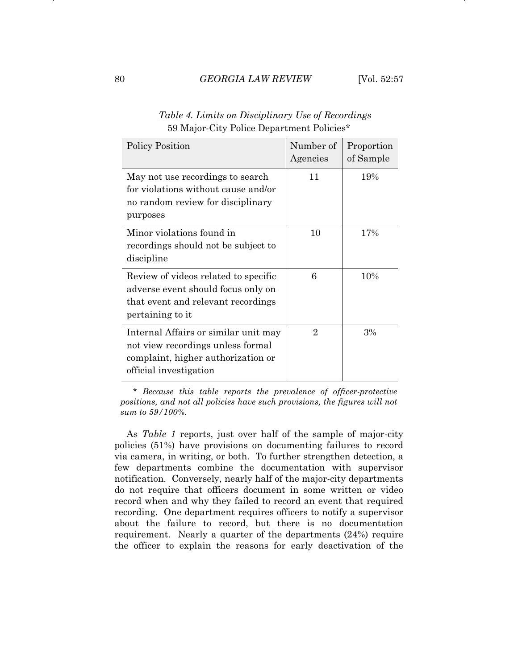| <b>Policy Position</b>                                                                                                                    | Number of<br>Agencies | Proportion<br>of Sample |
|-------------------------------------------------------------------------------------------------------------------------------------------|-----------------------|-------------------------|
| May not use recordings to search<br>for violations without cause and/or<br>no random review for disciplinary<br>purposes                  | 11                    | 19%                     |
| Minor violations found in<br>recordings should not be subject to<br>discipline                                                            | 10                    | 17%                     |
| Review of videos related to specific<br>adverse event should focus only on<br>that event and relevant recordings<br>pertaining to it      | 6                     | 10%                     |
| Internal Affairs or similar unit may<br>not view recordings unless formal<br>complaint, higher authorization or<br>official investigation | $\overline{2}$        | 3%                      |

*Table 4. Limits on Disciplinary Use of Recordings*  59 Major-City Police Department Policies\*

*\* Because this table reports the prevalence of officer-protective positions, and not all policies have such provisions, the figures will not sum to 59/100%.* 

As *Table 1* reports, just over half of the sample of major-city policies (51%) have provisions on documenting failures to record via camera, in writing, or both. To further strengthen detection, a few departments combine the documentation with supervisor notification. Conversely, nearly half of the major-city departments do not require that officers document in some written or video record when and why they failed to record an event that required recording. One department requires officers to notify a supervisor about the failure to record, but there is no documentation requirement. Nearly a quarter of the departments (24%) require the officer to explain the reasons for early deactivation of the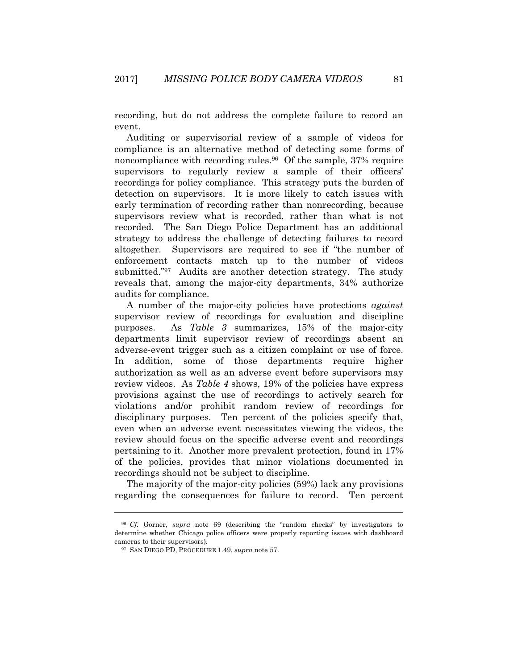recording, but do not address the complete failure to record an event.

Auditing or supervisorial review of a sample of videos for compliance is an alternative method of detecting some forms of noncompliance with recording rules.96 Of the sample, 37% require supervisors to regularly review a sample of their officers' recordings for policy compliance. This strategy puts the burden of detection on supervisors. It is more likely to catch issues with early termination of recording rather than nonrecording, because supervisors review what is recorded, rather than what is not recorded. The San Diego Police Department has an additional strategy to address the challenge of detecting failures to record altogether. Supervisors are required to see if "the number of enforcement contacts match up to the number of videos submitted."97 Audits are another detection strategy. The study reveals that, among the major-city departments, 34% authorize audits for compliance.

A number of the major-city policies have protections *against* supervisor review of recordings for evaluation and discipline purposes. As *Table 3* summarizes, 15% of the major-city departments limit supervisor review of recordings absent an adverse-event trigger such as a citizen complaint or use of force. In addition, some of those departments require higher authorization as well as an adverse event before supervisors may review videos. As *Table 4* shows, 19% of the policies have express provisions against the use of recordings to actively search for violations and/or prohibit random review of recordings for disciplinary purposes. Ten percent of the policies specify that, even when an adverse event necessitates viewing the videos, the review should focus on the specific adverse event and recordings pertaining to it. Another more prevalent protection, found in 17% of the policies, provides that minor violations documented in recordings should not be subject to discipline.

The majority of the major-city policies (59%) lack any provisions regarding the consequences for failure to record. Ten percent

<sup>96</sup> *Cf.* Gorner, *supra* note 69 (describing the "random checks" by investigators to determine whether Chicago police officers were properly reporting issues with dashboard cameras to their supervisors). 97 SAN DIEGO PD, PROCEDURE 1.49, *supra* note 57.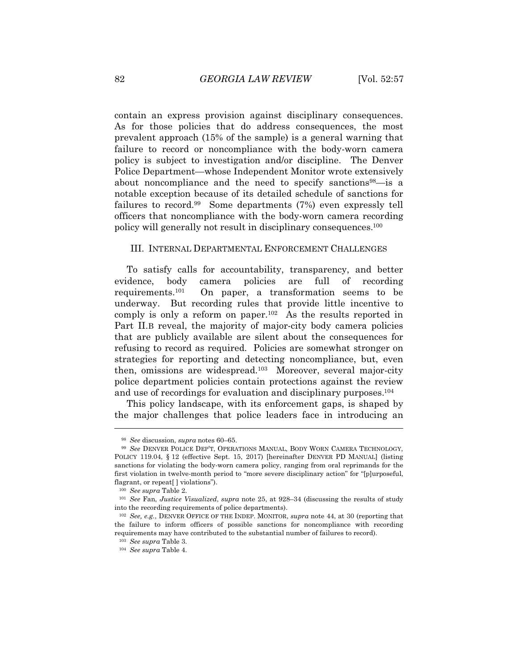contain an express provision against disciplinary consequences. As for those policies that do address consequences, the most prevalent approach (15% of the sample) is a general warning that failure to record or noncompliance with the body-worn camera policy is subject to investigation and/or discipline. The Denver Police Department—whose Independent Monitor wrote extensively about noncompliance and the need to specify sanctions<sup>98</sup>—is a notable exception because of its detailed schedule of sanctions for failures to record.99 Some departments (7%) even expressly tell officers that noncompliance with the body-worn camera recording policy will generally not result in disciplinary consequences.100

#### III. INTERNAL DEPARTMENTAL ENFORCEMENT CHALLENGES

To satisfy calls for accountability, transparency, and better evidence, body camera policies are full of recording requirements.101 On paper, a transformation seems to be underway. But recording rules that provide little incentive to comply is only a reform on paper.102 As the results reported in Part II.B reveal, the majority of major-city body camera policies that are publicly available are silent about the consequences for refusing to record as required. Policies are somewhat stronger on strategies for reporting and detecting noncompliance, but, even then, omissions are widespread.103 Moreover, several major-city police department policies contain protections against the review and use of recordings for evaluation and disciplinary purposes.104

This policy landscape, with its enforcement gaps, is shaped by the major challenges that police leaders face in introducing an

<sup>98</sup> *See* discussion, *supra* notes 60–65.

<sup>99</sup> *See* DENVER POLICE DEP'T, OPERATIONS MANUAL, BODY WORN CAMERA TECHNOLOGY, POLICY 119.04, § 12 (effective Sept. 15, 2017) [hereinafter DENVER PD MANUAL] (listing sanctions for violating the body-worn camera policy, ranging from oral reprimands for the first violation in twelve-month period to "more severe disciplinary action" for "[p]urposeful, flagrant, or repeat[] violations").

<sup>100</sup> *See supra* Table 2.

<sup>101</sup> *See* Fan, *Justice Visualized*, *supra* note 25, at 928–34 (discussing the results of study into the recording requirements of police departments).

<sup>102</sup> *See, e.g.*, DENVER OFFICE OF THE INDEP. MONITOR, *supra* note 44, at 30 (reporting that the failure to inform officers of possible sanctions for noncompliance with recording requirements may have contributed to the substantial number of failures to record).

<sup>103</sup> *See supra* Table 3.

<sup>104</sup> *See supra* Table 4.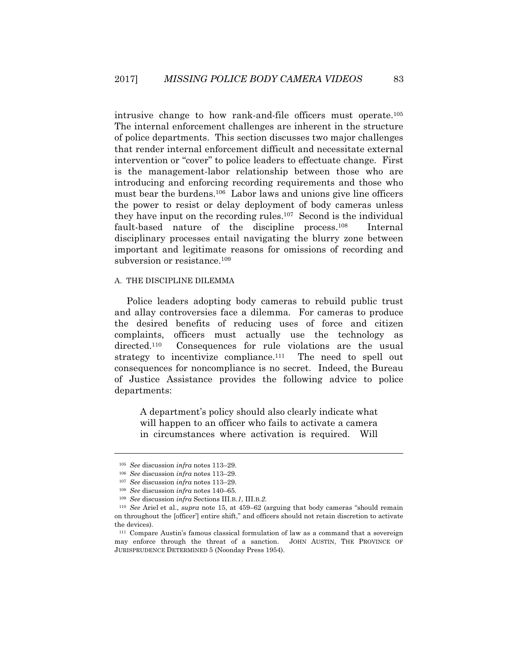intrusive change to how rank-and-file officers must operate.105 The internal enforcement challenges are inherent in the structure of police departments. This section discusses two major challenges that render internal enforcement difficult and necessitate external intervention or "cover" to police leaders to effectuate change. First is the management-labor relationship between those who are introducing and enforcing recording requirements and those who must bear the burdens.106 Labor laws and unions give line officers the power to resist or delay deployment of body cameras unless they have input on the recording rules.107 Second is the individual fault-based nature of the discipline process.<sup>108</sup> Internal disciplinary processes entail navigating the blurry zone between important and legitimate reasons for omissions of recording and subversion or resistance.<sup>109</sup>

#### A. THE DISCIPLINE DILEMMA

Police leaders adopting body cameras to rebuild public trust and allay controversies face a dilemma. For cameras to produce the desired benefits of reducing uses of force and citizen complaints, officers must actually use the technology as directed.<sup>110</sup> Consequences for rule violations are the usual strategy to incentivize compliance.<sup>111</sup> The need to spell out consequences for noncompliance is no secret. Indeed, the Bureau of Justice Assistance provides the following advice to police departments:

A department's policy should also clearly indicate what will happen to an officer who fails to activate a camera in circumstances where activation is required. Will

<sup>105</sup> *See* discussion *infra* notes 113–29.

<sup>106</sup> *See* discussion *infra* notes 113–29. 107 *See* discussion *infra* notes 113–29. 108 *See* discussion *infra* notes 140–65.

<sup>109</sup> *See* discussion *infra* Sections III.B.*1*, III.B.*2*.

<sup>110</sup> *See* Ariel et al., *supra* note 15, at 459–62 (arguing that body cameras "should remain on throughout the [officer'] entire shift," and officers should not retain discretion to activate the devices).

<sup>111</sup> Compare Austin's famous classical formulation of law as a command that a sovereign may enforce through the threat of a sanction. JOHN AUSTIN, THE PROVINCE OF JURISPRUDENCE DETERMINED 5 (Noonday Press 1954).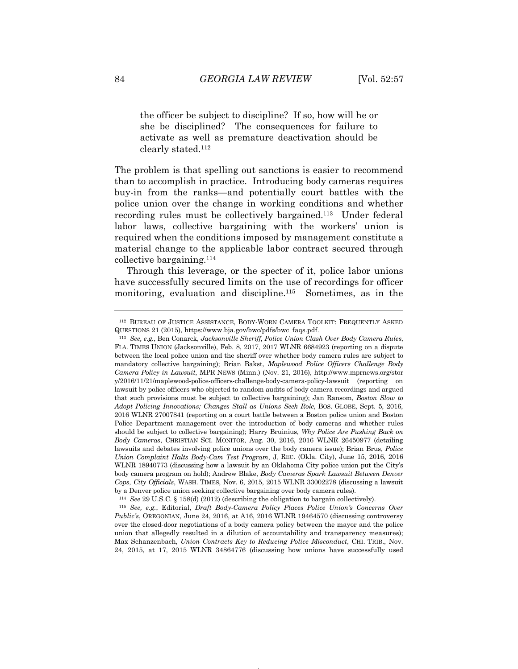the officer be subject to discipline? If so, how will he or she be disciplined? The consequences for failure to activate as well as premature deactivation should be clearly stated.112

The problem is that spelling out sanctions is easier to recommend than to accomplish in practice. Introducing body cameras requires buy-in from the ranks—and potentially court battles with the police union over the change in working conditions and whether recording rules must be collectively bargained.113 Under federal labor laws, collective bargaining with the workers' union is required when the conditions imposed by management constitute a material change to the applicable labor contract secured through collective bargaining.114

Through this leverage, or the specter of it, police labor unions have successfully secured limits on the use of recordings for officer monitoring, evaluation and discipline.<sup>115</sup> Sometimes, as in the

<sup>114</sup> *See* 29 U.S.C. § 158(d) (2012) (describing the obligation to bargain collectively). 115 *See, e.g.*, Editorial, *Draft Body-Camera Policy Places Police Union's Concerns Over Public's*, OREGONIAN, June 24, 2016, at A16, 2016 WLNR 19464570 (discussing controversy over the closed-door negotiations of a body camera policy between the mayor and the police union that allegedly resulted in a dilution of accountability and transparency measures); Max Schanzenbach, *Union Contracts Key to Reducing Police Misconduct*, CHI. TRIB., Nov. 24, 2015, at 17, 2015 WLNR 34864776 (discussing how unions have successfully used

<sup>112</sup> BUREAU OF JUSTICE ASSISTANCE, BODY-WORN CAMERA TOOLKIT: FREQUENTLY ASKED

QUESTIONS 21 (2015), https://www.bja.gov/bwc/pdfs/bwc\_faqs.pdf. 113 *See, e.g.*, Ben Conarck, *Jacksonville Sheriff, Police Union Clash Over Body Camera Rules*, FLA. TIMES UNION (Jacksonville), Feb. 8, 2017, 2017 WLNR 6684923 (reporting on a dispute between the local police union and the sheriff over whether body camera rules are subject to mandatory collective bargaining); Brian Bakst, *Maplewood Police Officers Challenge Body Camera Policy in Lawsuit*, MPR NEWS (Minn.) (Nov. 21, 2016), http://www.mprnews.org/stor y/2016/11/21/maplewood-police-officers-challenge-body-camera-policy-lawsuit (reporting on lawsuit by police officers who objected to random audits of body camera recordings and argued that such provisions must be subject to collective bargaining); Jan Ransom, *Boston Slow to Adopt Policing Innovations: Changes Stall as Unions Seek Role*, Bos. GLOBE, Sept. 5, 2016. 2016 WLNR 27007841 (reporting on a court battle between a Boston police union and Boston Police Department management over the introduction of body cameras and whether rules should be subject to collective bargaining); Harry Bruinius, *Why Police Are Pushing Back on Body Cameras*, CHRISTIAN SCI. MONITOR, Aug. 30, 2016, 2016 WLNR 26450977 (detailing lawsuits and debates involving police unions over the body camera issue); Brian Brus, *Police Union Complaint Halts Body-Cam Test Program*, J. REC. (Okla. City), June 15, 2016, 2016 WLNR 18940773 (discussing how a lawsuit by an Oklahoma City police union put the City's body camera program on hold); Andrew Blake, *Body Cameras Spark Lawsuit Between Denver Cops, City Officials*, WASH. TIMES, Nov. 6, 2015, 2015 WLNR 33002278 (discussing a lawsuit by a Denver police union seeking collective bargaining over body camera rules).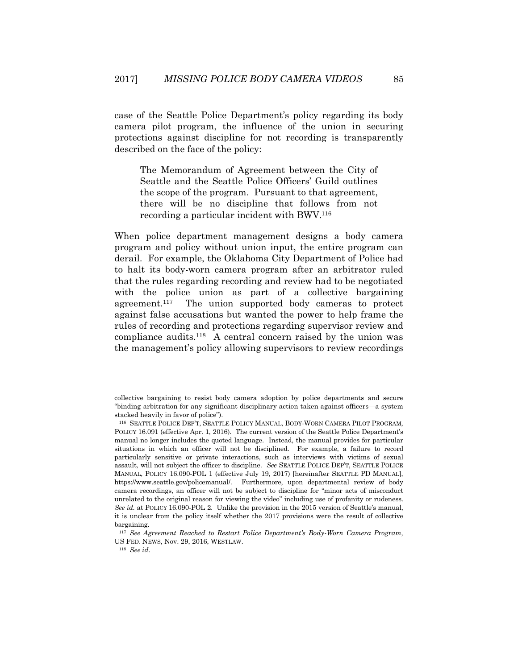case of the Seattle Police Department's policy regarding its body camera pilot program, the influence of the union in securing protections against discipline for not recording is transparently described on the face of the policy:

The Memorandum of Agreement between the City of Seattle and the Seattle Police Officers' Guild outlines the scope of the program. Pursuant to that agreement, there will be no discipline that follows from not recording a particular incident with BWV.116

When police department management designs a body camera program and policy without union input, the entire program can derail. For example, the Oklahoma City Department of Police had to halt its body-worn camera program after an arbitrator ruled that the rules regarding recording and review had to be negotiated with the police union as part of a collective bargaining agreement.117 The union supported body cameras to protect against false accusations but wanted the power to help frame the rules of recording and protections regarding supervisor review and compliance audits.118 A central concern raised by the union was the management's policy allowing supervisors to review recordings

collective bargaining to resist body camera adoption by police departments and secure "binding arbitration for any significant disciplinary action taken against officers—a system stacked heavily in favor of police").

<sup>116</sup> SEATTLE POLICE DEP'T, SEATTLE POLICY MANUAL, BODY-WORN CAMERA PILOT PROGRAM, POLICY 16.091 (effective Apr. 1, 2016). The current version of the Seattle Police Department's manual no longer includes the quoted language. Instead, the manual provides for particular situations in which an officer will not be disciplined. For example, a failure to record particularly sensitive or private interactions, such as interviews with victims of sexual assault, will not subject the officer to discipline. *See* SEATTLE POLICE DEP'T, SEATTLE POLICE MANUAL, POLICY 16.090-POL 1 (effective July 19, 2017) [hereinafter SEATTLE PD MANUAL], https://www.seattle.gov/policemanual/. Furthermore, upon departmental review of body camera recordings, an officer will not be subject to discipline for "minor acts of misconduct unrelated to the original reason for viewing the video" including use of profanity or rudeness. *See id.* at POLICY 16.090-POL 2. Unlike the provision in the 2015 version of Seattle's manual, it is unclear from the policy itself whether the 2017 provisions were the result of collective bargaining.

<sup>117</sup> *See Agreement Reached to Restart Police Department's Body-Worn Camera Program*, US FED. NEWS, Nov. 29, 2016, WESTLAW.

<sup>118</sup> *See id.*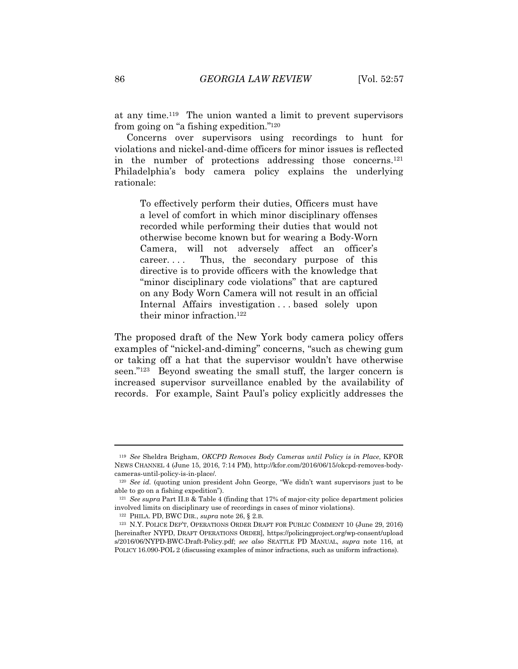at any time.119 The union wanted a limit to prevent supervisors from going on "a fishing expedition."120

Concerns over supervisors using recordings to hunt for violations and nickel-and-dime officers for minor issues is reflected in the number of protections addressing those concerns.121 Philadelphia's body camera policy explains the underlying rationale:

To effectively perform their duties, Officers must have a level of comfort in which minor disciplinary offenses recorded while performing their duties that would not otherwise become known but for wearing a Body-Worn Camera, will not adversely affect an officer's career. . . . Thus, the secondary purpose of this directive is to provide officers with the knowledge that "minor disciplinary code violations" that are captured on any Body Worn Camera will not result in an official Internal Affairs investigation . . . based solely upon their minor infraction.<sup>122</sup>

The proposed draft of the New York body camera policy offers examples of "nickel-and-diming" concerns, "such as chewing gum or taking off a hat that the supervisor wouldn't have otherwise seen."123 Beyond sweating the small stuff, the larger concern is increased supervisor surveillance enabled by the availability of records. For example, Saint Paul's policy explicitly addresses the

<sup>119</sup> *See* Sheldra Brigham, *OKCPD Removes Body Cameras until Policy is in Place*, KFOR NEWS CHANNEL 4 (June 15, 2016, 7:14 PM), http://kfor.com/2016/06/15/okcpd-removes-bodycameras-until-policy-is-in-place/*.*

<sup>120</sup> *See id.* (quoting union president John George, "We didn't want supervisors just to be able to go on a fishing expedition").

<sup>121</sup> *See supra* Part II.B & Table 4 (finding that 17% of major-city police department policies involved limits on disciplinary use of recordings in cases of minor violations).

<sup>122</sup> PHILA. PD, BWC DIR., *supra* note 26, § 2.B.

<sup>123</sup> N.Y. POLICE DEP'T, OPERATIONS ORDER DRAFT FOR PUBLIC COMMENT 10 (June 29, 2016) [hereinafter NYPD, DRAFT OPERATIONS ORDER], https://policingproject.org/wp-consent/upload s/2016/06/NYPD-BWC-Draft-Policy.pdf; *see also* SEATTLE PD MANUAL, *supra* note 116, at POLICY 16.090-POL 2 (discussing examples of minor infractions, such as uniform infractions).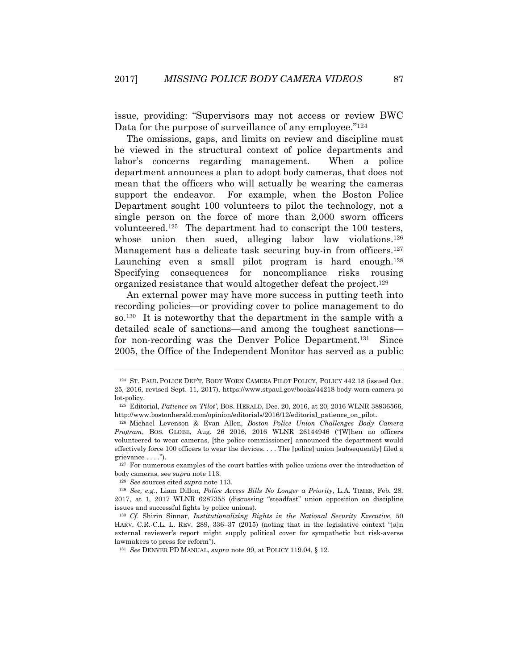issue, providing: "Supervisors may not access or review BWC Data for the purpose of surveillance of any employee."<sup>124</sup>

The omissions, gaps, and limits on review and discipline must be viewed in the structural context of police departments and labor's concerns regarding management. When a police department announces a plan to adopt body cameras, that does not mean that the officers who will actually be wearing the cameras support the endeavor. For example, when the Boston Police Department sought 100 volunteers to pilot the technology, not a single person on the force of more than 2,000 sworn officers volunteered.125 The department had to conscript the 100 testers, whose union then sued, alleging labor law violations.<sup>126</sup> Management has a delicate task securing buy-in from officers.<sup>127</sup> Launching even a small pilot program is hard enough.<sup>128</sup> Specifying consequences for noncompliance risks rousing organized resistance that would altogether defeat the project.129

An external power may have more success in putting teeth into recording policies—or providing cover to police management to do so.130 It is noteworthy that the department in the sample with a detailed scale of sanctions—and among the toughest sanctions for non-recording was the Denver Police Department.131 Since 2005, the Office of the Independent Monitor has served as a public

<sup>124</sup> ST. PAUL POLICE DEP'T, BODY WORN CAMERA PILOT POLICY, POLICY 442.18 (issued Oct. 25, 2016, revised Sept. 11, 2017), https://www.stpaul.gov/books/44218-body-worn-camera-pi lot-policy.

<sup>125</sup> Editorial, *Patience on 'Pilot'*, BOS. HERALD, Dec. 20, 2016, at 20, 2016 WLNR 38936566, http://www.bostonherald.com/opinion/editorials/2016/12/editorial\_patience\_on\_pilot.

<sup>126</sup> Michael Levenson & Evan Allen, *Boston Police Union Challenges Body Camera Program*, BOS. GLOBE, Aug. 26 2016, 2016 WLNR 26144946 ("[W]hen no officers volunteered to wear cameras, [the police commissioner] announced the department would effectively force 100 officers to wear the devices. . . . The [police] union [subsequently] filed a grievance . . . .").

<sup>&</sup>lt;sup>127</sup> For numerous examples of the court battles with police unions over the introduction of body cameras, see *supra* note 113. 128 *See* sources cited *supra* note 113. 129 *See, e.g.*, Liam Dillon, *Police Access Bills No Longer a Priority*, L.A. TIMES, Feb. 28,

<sup>2017,</sup> at 1, 2017 WLNR 6287355 (discussing "steadfast" union opposition on discipline issues and successful fights by police unions).

<sup>130</sup> *Cf.* Shirin Sinnar, *Institutionalizing Rights in the National Security Executive*, 50 HARV. C.R.-C.L. L. REV. 289, 336–37 (2015) (noting that in the legislative context "[a]n external reviewer's report might supply political cover for sympathetic but risk-averse lawmakers to press for reform").

<sup>131</sup> *See* DENVER PD MANUAL, *supra* note 99, at POLICY 119.04, § 12.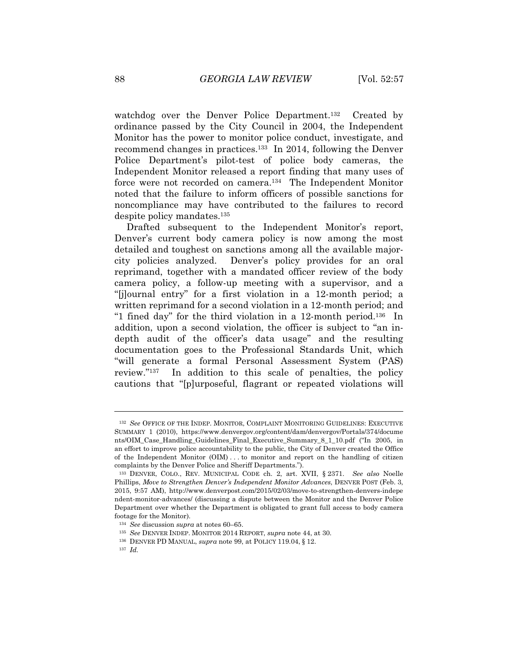watchdog over the Denver Police Department.<sup>132</sup> Created by ordinance passed by the City Council in 2004, the Independent Monitor has the power to monitor police conduct, investigate, and recommend changes in practices.133 In 2014, following the Denver Police Department's pilot-test of police body cameras, the Independent Monitor released a report finding that many uses of force were not recorded on camera.134 The Independent Monitor noted that the failure to inform officers of possible sanctions for noncompliance may have contributed to the failures to record despite policy mandates.135

Drafted subsequent to the Independent Monitor's report, Denver's current body camera policy is now among the most detailed and toughest on sanctions among all the available majorcity policies analyzed. Denver's policy provides for an oral reprimand, together with a mandated officer review of the body camera policy, a follow-up meeting with a supervisor, and a "[j]ournal entry" for a first violation in a 12-month period; a written reprimand for a second violation in a 12-month period; and "1 fined day" for the third violation in a 12-month period.136 In addition, upon a second violation, the officer is subject to "an indepth audit of the officer's data usage" and the resulting documentation goes to the Professional Standards Unit, which "will generate a formal Personal Assessment System (PAS) review."137 In addition to this scale of penalties, the policy cautions that "[p]urposeful, flagrant or repeated violations will

<sup>132</sup> *See* OFFICE OF THE INDEP. MONITOR, COMPLAINT MONITORING GUIDELINES: EXECUTIVE SUMMARY 1 (2010), https://www.denvergov.org/content/dam/denvergov/Portals/374/docume nts/OIM\_Case\_Handling\_Guidelines\_Final\_Executive\_Summary\_8\_1\_10.pdf ("In 2005, in an effort to improve police accountability to the public, the City of Denver created the Office of the Independent Monitor (OIM) . . . to monitor and report on the handling of citizen complaints by the Denver Police and Sheriff Departments.").

<sup>133</sup> DENVER, COLO., REV. MUNICIPAL CODE ch. 2, art. XVII, § 2371. *See also* Noelle Phillips, *Move to Strengthen Denver's Independent Monitor Advances*, DENVER POST (Feb. 3, 2015, 9:57 AM), http://www.denverpost.com/2015/02/03/move-to-strengthen-denvers-indepe ndent-monitor-advances/ (discussing a dispute between the Monitor and the Denver Police Department over whether the Department is obligated to grant full access to body camera footage for the Monitor).<br> $134$  See discussion supra at notes 60–65.

<sup>&</sup>lt;sup>135</sup> *See* DENVER INDEP. MONITOR 2014 REPORT, *supra* note 44, at 30. 1<sup>36</sup> DENVER PD MANUAL, *supra* note 99, at POLICY 119.04, § 12.

<sup>137</sup> *Id.*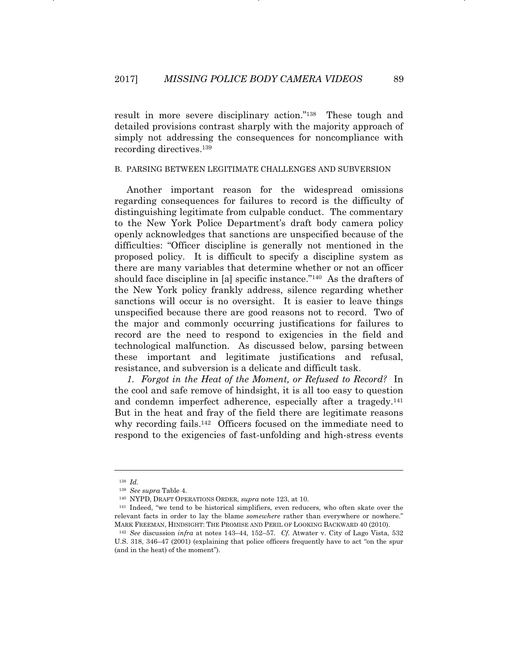result in more severe disciplinary action."138 These tough and detailed provisions contrast sharply with the majority approach of simply not addressing the consequences for noncompliance with recording directives.139

#### B. PARSING BETWEEN LEGITIMATE CHALLENGES AND SUBVERSION

Another important reason for the widespread omissions regarding consequences for failures to record is the difficulty of distinguishing legitimate from culpable conduct. The commentary to the New York Police Department's draft body camera policy openly acknowledges that sanctions are unspecified because of the difficulties: "Officer discipline is generally not mentioned in the proposed policy. It is difficult to specify a discipline system as there are many variables that determine whether or not an officer should face discipline in [a] specific instance."140 As the drafters of the New York policy frankly address, silence regarding whether sanctions will occur is no oversight. It is easier to leave things unspecified because there are good reasons not to record. Two of the major and commonly occurring justifications for failures to record are the need to respond to exigencies in the field and technological malfunction. As discussed below, parsing between these important and legitimate justifications and refusal, resistance, and subversion is a delicate and difficult task.

*1. Forgot in the Heat of the Moment, or Refused to Record?* In the cool and safe remove of hindsight, it is all too easy to question and condemn imperfect adherence, especially after a tragedy.141 But in the heat and fray of the field there are legitimate reasons why recording fails.<sup>142</sup> Officers focused on the immediate need to respond to the exigencies of fast-unfolding and high-stress events

<sup>138</sup> *Id.*

<sup>139</sup> *See supra* Table 4.

<sup>&</sup>lt;sup>140</sup> NYPD, DRAFT OPERATIONS ORDER, *supra* note 123, at 10.<br><sup>141</sup> Indeed, "we tend to be historical simplifiers, even reducers, who often skate over the relevant facts in order to lay the blame *somewhere* rather than everywhere or nowhere." MARK FREEMAN, HINDSIGHT: THE PROMISE AND PERIL OF LOOKING BACKWARD 40 (2010). 142 *See* discussion *infra* at notes 143–44, 152–57. *Cf.* Atwater v. City of Lago Vista, 532

U.S. 318, 346–47 (2001) (explaining that police officers frequently have to act "on the spur (and in the heat) of the moment").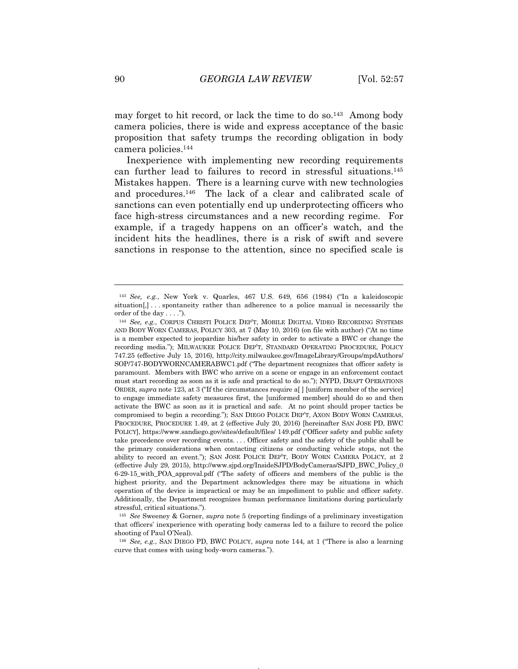may forget to hit record, or lack the time to do so.<sup>143</sup> Among body camera policies, there is wide and express acceptance of the basic proposition that safety trumps the recording obligation in body camera policies.144

Inexperience with implementing new recording requirements can further lead to failures to record in stressful situations.145 Mistakes happen. There is a learning curve with new technologies and procedures.146 The lack of a clear and calibrated scale of sanctions can even potentially end up underprotecting officers who face high-stress circumstances and a new recording regime. For example, if a tragedy happens on an officer's watch, and the incident hits the headlines, there is a risk of swift and severe sanctions in response to the attention, since no specified scale is

<sup>143</sup> *See, e.g.*, New York v. Quarles, 467 U.S. 649, 656 (1984) ("In a kaleidoscopic  $situation[,] \ldots$  spontaneity rather than adherence to a police manual is necessarily the order of the day . . . .").

<sup>144</sup> *See, e.g.*, CORPUS CHRISTI POLICE DEP'T, MOBILE DIGITAL VIDEO RECORDING SYSTEMS AND BODY WORN CAMERAS, POLICY 303, at 7 (May 10, 2016) (on file with author) ("At no time is a member expected to jeopardize his/her safety in order to activate a BWC or change the recording media."); MILWAUKEE POLICE DEP'T, STANDARD OPERATING PROCEDURE, POLICY 747.25 (effective July 15, 2016), http://city.milwaukee.gov/ImageLibrary/Groups/mpdAuthors/ SOP/747-BODYWORNCAMERABWC1.pdf ("The department recognizes that officer safety is paramount. Members with BWC who arrive on a scene or engage in an enforcement contact must start recording as soon as it is safe and practical to do so."); NYPD, DRAFT OPERATIONS ORDER, *supra* note 123, at 3 ("If the circumstances require a[ ] [uniform member of the service] to engage immediate safety measures first, the [uniformed member] should do so and then activate the BWC as soon as it is practical and safe. At no point should proper tactics be compromised to begin a recording."); SAN DIEGO POLICE DEP'T, AXON BODY WORN CAMERAS, PROCEDURE, PROCEDURE 1.49, at 2 (effective July 20, 2016) [hereinafter SAN JOSE PD, BWC POLICY], https://www.sandiego.gov/sites/default/files/ 149.pdf ("Officer safety and public safety take precedence over recording events. . . . Officer safety and the safety of the public shall be the primary considerations when contacting citizens or conducting vehicle stops, not the ability to record an event."); SAN JOSE POLICE DEP'T, BODY WORN CAMERA POLICY, at 2 (effective July 29, 2015), http://www.sjpd.org/InsideSJPD/BodyCameras/SJPD\_BWC\_Policy\_0 6-29-15\_with\_POA\_approval.pdf ("The safety of officers and members of the public is the highest priority, and the Department acknowledges there may be situations in which operation of the device is impractical or may be an impediment to public and officer safety. Additionally, the Department recognizes human performance limitations during particularly stressful, critical situations.").

<sup>145</sup> *See* Sweeney & Gorner, *supra* note 5 (reporting findings of a preliminary investigation that officers' inexperience with operating body cameras led to a failure to record the police shooting of Paul O'Neal).

<sup>146</sup> *See, e.g.*, SAN DIEGO PD, BWC POLICY, *supra* note 144, at 1 ("There is also a learning curve that comes with using body-worn cameras.").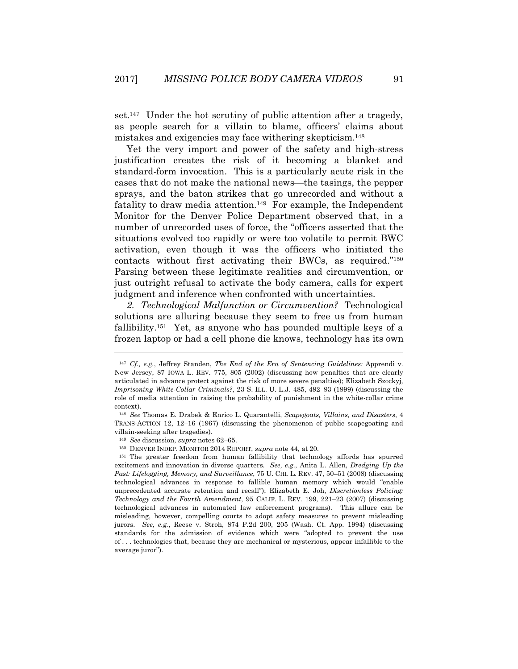set.147 Under the hot scrutiny of public attention after a tragedy, as people search for a villain to blame, officers' claims about mistakes and exigencies may face withering skepticism.148

Yet the very import and power of the safety and high-stress justification creates the risk of it becoming a blanket and standard-form invocation. This is a particularly acute risk in the cases that do not make the national news—the tasings, the pepper sprays, and the baton strikes that go unrecorded and without a fatality to draw media attention.149 For example, the Independent Monitor for the Denver Police Department observed that, in a number of unrecorded uses of force, the "officers asserted that the situations evolved too rapidly or were too volatile to permit BWC activation, even though it was the officers who initiated the contacts without first activating their BWCs, as required."150 Parsing between these legitimate realities and circumvention, or just outright refusal to activate the body camera, calls for expert judgment and inference when confronted with uncertainties.

*2. Technological Malfunction or Circumvention?* Technological solutions are alluring because they seem to free us from human fallibility.151 Yet, as anyone who has pounded multiple keys of a frozen laptop or had a cell phone die knows, technology has its own

<sup>147</sup> *Cf., e.g.*, Jeffrey Standen, *The End of the Era of Sentencing Guidelines:* Apprendi v. New Jersey, 87 IOWA L. REV. 775, 805 (2002) (discussing how penalties that are clearly articulated in advance protect against the risk of more severe penalties); Elizabeth Szockyj, *Imprisoning White-Collar Criminals?*, 23 S. ILL. U. L.J. 485, 492–93 (1999) (discussing the role of media attention in raising the probability of punishment in the white-collar crime context).

<sup>148</sup> *See* Thomas E. Drabek & Enrico L. Quarantelli, *Scapegoats, Villains, and Disasters*, 4 TRANS-ACTION 12, 12–16 (1967) (discussing the phenomenon of public scapegoating and villain-seeking after tragedies).

<sup>149</sup> *See* discussion, *supra* notes 62–65.

<sup>150</sup> DENVER INDEP. MONITOR 2014 REPORT, *supra* note 44, at 20.

<sup>151</sup> The greater freedom from human fallibility that technology affords has spurred excitement and innovation in diverse quarters. *See, e.g.*, Anita L. Allen, *Dredging Up the Past: Lifelogging, Memory, and Surveillance*, 75 U. CHI. L. REV. 47, 50–51 (2008) (discussing technological advances in response to fallible human memory which would "enable unprecedented accurate retention and recall"); Elizabeth E. Joh, *Discretionless Policing: Technology and the Fourth Amendment*, 95 CALIF. L. REV. 199, 221–23 (2007) (discussing technological advances in automated law enforcement programs). This allure can be misleading, however, compelling courts to adopt safety measures to prevent misleading jurors. *See, e.g.*, Reese v. Stroh, 874 P.2d 200, 205 (Wash. Ct. App. 1994) (discussing standards for the admission of evidence which were "adopted to prevent the use of . . . technologies that, because they are mechanical or mysterious, appear infallible to the average juror").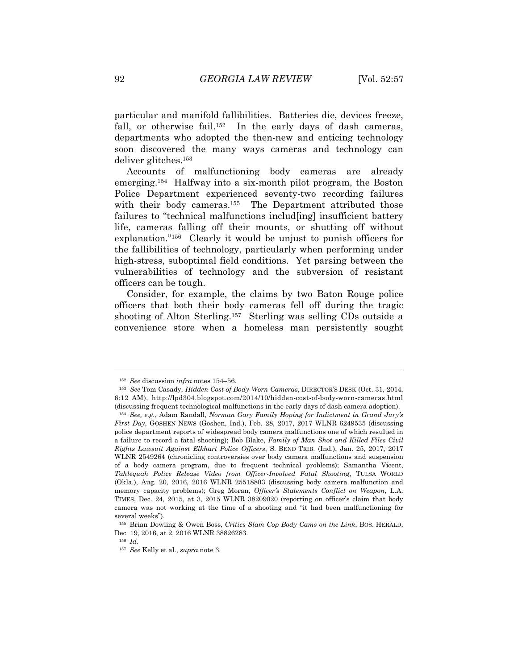particular and manifold fallibilities. Batteries die, devices freeze, fall, or otherwise fail.<sup>152</sup> In the early days of dash cameras, departments who adopted the then-new and enticing technology soon discovered the many ways cameras and technology can deliver glitches.153

Accounts of malfunctioning body cameras are already emerging.154 Halfway into a six-month pilot program, the Boston Police Department experienced seventy-two recording failures with their body cameras.<sup>155</sup> The Department attributed those failures to "technical malfunctions includ[ing] insufficient battery life, cameras falling off their mounts, or shutting off without explanation."156 Clearly it would be unjust to punish officers for the fallibilities of technology, particularly when performing under high-stress, suboptimal field conditions. Yet parsing between the vulnerabilities of technology and the subversion of resistant officers can be tough.

Consider, for example, the claims by two Baton Rouge police officers that both their body cameras fell off during the tragic shooting of Alton Sterling.157 Sterling was selling CDs outside a convenience store when a homeless man persistently sought

<sup>152</sup> *See* discussion *infra* notes 154–56. 153 *See* Tom Casady, *Hidden Cost of Body-Worn Cameras*, DIRECTOR'S DESK (Oct. 31, 2014, 6:12 AM), http://lpd304.blogspot.com/2014/10/hidden-cost-of-body-worn-cameras.html (discussing frequent technological malfunctions in the early days of dash camera adoption).

<sup>154</sup> *See, e.g.*, Adam Randall, *Norman Gary Family Hoping for Indictment in Grand Jury's First Day*, GOSHEN NEWS (Goshen, Ind.), Feb. 28, 2017, 2017 WLNR 6249535 (discussing police department reports of widespread body camera malfunctions one of which resulted in a failure to record a fatal shooting); Bob Blake, *Family of Man Shot and Killed Files Civil Rights Lawsuit Against Elkhart Police Officers*, S. BEND TRIB. (Ind.), Jan. 25, 2017, 2017 WLNR 2549264 (chronicling controversies over body camera malfunctions and suspension of a body camera program, due to frequent technical problems); Samantha Vicent, *Tahlequah Police Release Video from Officer-Involved Fatal Shooting*, TULSA WORLD (Okla.), Aug. 20, 2016, 2016 WLNR 25518803 (discussing body camera malfunction and memory capacity problems); Greg Moran, *Officer's Statements Conflict on Weapon*, L.A. TIMES, Dec. 24, 2015, at 3, 2015 WLNR 38209020 (reporting on officer's claim that body camera was not working at the time of a shooting and "it had been malfunctioning for several weeks").

<sup>155</sup> Brian Dowling & Owen Boss, *Critics Slam Cop Body Cams on the Link*, BOS. HERALD, Dec. 19, 2016, at 2, 2016 WLNR 38826283.

<sup>156</sup> *Id.*

<sup>157</sup> *See* Kelly et al., *supra* note 3.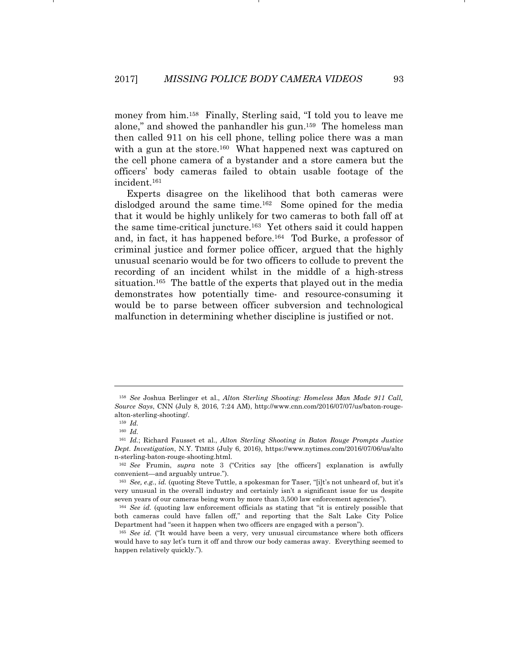money from him.158 Finally, Sterling said, "I told you to leave me alone," and showed the panhandler his gun.159 The homeless man then called 911 on his cell phone, telling police there was a man with a gun at the store.<sup>160</sup> What happened next was captured on the cell phone camera of a bystander and a store camera but the officers' body cameras failed to obtain usable footage of the incident.161

Experts disagree on the likelihood that both cameras were dislodged around the same time.162 Some opined for the media that it would be highly unlikely for two cameras to both fall off at the same time-critical juncture.163 Yet others said it could happen and, in fact, it has happened before.164 Tod Burke, a professor of criminal justice and former police officer, argued that the highly unusual scenario would be for two officers to collude to prevent the recording of an incident whilst in the middle of a high-stress situation.165 The battle of the experts that played out in the media demonstrates how potentially time- and resource-consuming it would be to parse between officer subversion and technological malfunction in determining whether discipline is justified or not.

<sup>158</sup> *See* Joshua Berlinger et al., *Alton Sterling Shooting: Homeless Man Made 911 Call, Source Says*, CNN (July 8, 2016, 7:24 AM), http://www.cnn.com/2016/07/07/us/baton-rougealton-sterling-shooting/.

<sup>159</sup> *Id.*

<sup>160</sup> *Id.*

<sup>161</sup> *Id.*; Richard Fausset et al., *Alton Sterling Shooting in Baton Rouge Prompts Justice Dept. Investigation*, N.Y. TIMES (July 6, 2016), https://www.nytimes.com/2016/07/06/us/alto n-sterling-baton-rouge-shooting.html.

<sup>162</sup> *See* Frumin, *supra* note 3 ("Critics say [the officers'] explanation is awfully convenient—and arguably untrue.").

<sup>163</sup> *See, e.g.*, *id.* (quoting Steve Tuttle, a spokesman for Taser, "[i]t's not unheard of, but it's very unusual in the overall industry and certainly isn't a significant issue for us despite seven years of our cameras being worn by more than 3,500 law enforcement agencies").

<sup>164</sup> *See id.* (quoting law enforcement officials as stating that "it is entirely possible that both cameras could have fallen off," and reporting that the Salt Lake City Police Department had "seen it happen when two officers are engaged with a person").

<sup>&</sup>lt;sup>165</sup> *See id.* ("It would have been a very, very unusual circumstance where both officers would have to say let's turn it off and throw our body cameras away. Everything seemed to happen relatively quickly.").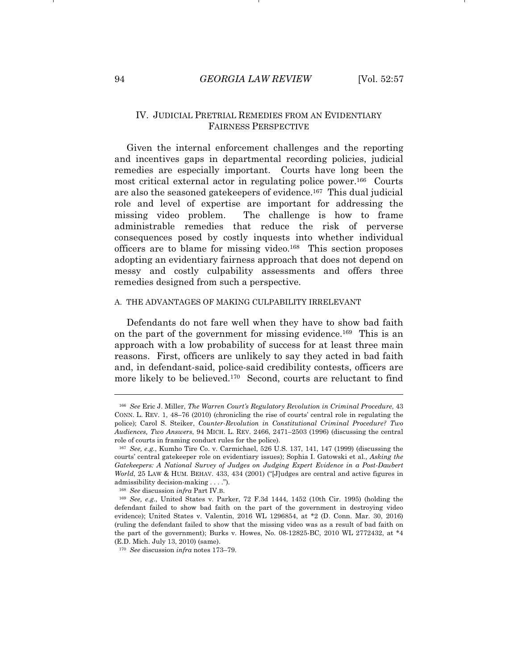#### IV. JUDICIAL PRETRIAL REMEDIES FROM AN EVIDENTIARY FAIRNESS PERSPECTIVE

Given the internal enforcement challenges and the reporting and incentives gaps in departmental recording policies, judicial remedies are especially important. Courts have long been the most critical external actor in regulating police power.166 Courts are also the seasoned gatekeepers of evidence.167 This dual judicial role and level of expertise are important for addressing the missing video problem. The challenge is how to frame administrable remedies that reduce the risk of perverse consequences posed by costly inquests into whether individual officers are to blame for missing video.168 This section proposes adopting an evidentiary fairness approach that does not depend on messy and costly culpability assessments and offers three remedies designed from such a perspective.

#### A. THE ADVANTAGES OF MAKING CULPABILITY IRRELEVANT

Defendants do not fare well when they have to show bad faith on the part of the government for missing evidence.169 This is an approach with a low probability of success for at least three main reasons. First, officers are unlikely to say they acted in bad faith and, in defendant-said, police-said credibility contests, officers are more likely to be believed.<sup>170</sup> Second, courts are reluctant to find

<sup>166</sup> *See* Eric J. Miller, *The Warren Court's Regulatory Revolution in Criminal Procedure*, 43 CONN. L. REV. 1, 48–76 (2010) (chronicling the rise of courts' central role in regulating the police); Carol S. Steiker, *Counter-Revolution in Constitutional Criminal Procedure? Two Audiences, Two Answers*, 94 MICH. L. REV. 2466, 2471–2503 (1996) (discussing the central role of courts in framing conduct rules for the police).

<sup>167</sup> *See, e.g.*, Kumho Tire Co. v. Carmichael, 526 U.S. 137, 141, 147 (1999) (discussing the courts' central gatekeeper role on evidentiary issues); Sophia I. Gatowski et al., *Asking the Gatekeepers: A National Survey of Judges on Judging Expert Evidence in a Post-Daubert World*, 25 LAW & HUM. BEHAV. 433, 434 (2001) ("[J]udges are central and active figures in admissibility decision-making . . . .").

<sup>168</sup> *See* discussion *infra* Part IV.B.

<sup>169</sup> *See, e.g.*, United States v. Parker, 72 F.3d 1444, 1452 (10th Cir. 1995) (holding the defendant failed to show bad faith on the part of the government in destroying video evidence); United States v. Valentin, 2016 WL 1296854, at \*2 (D. Conn. Mar. 30, 2016) (ruling the defendant failed to show that the missing video was as a result of bad faith on the part of the government); Burks v. Howes, No. 08-12825-BC, 2010 WL 2772432, at \*4 (E.D. Mich. July 13, 2010) (same).

<sup>170</sup> *See* discussion *infra* notes 173–79.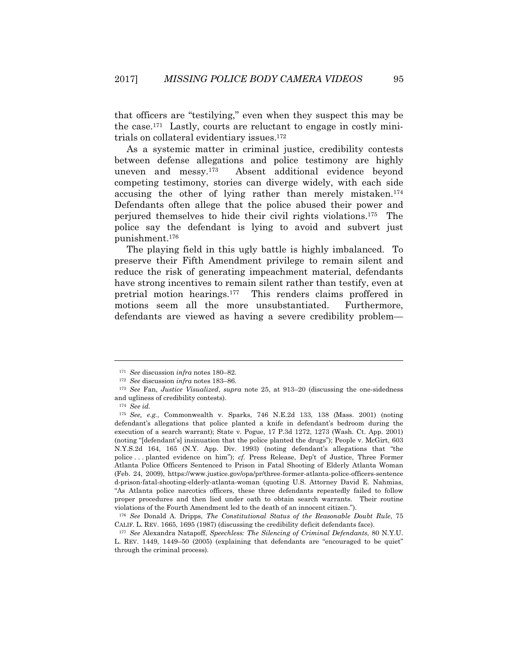that officers are "testilying," even when they suspect this may be the case.171 Lastly, courts are reluctant to engage in costly minitrials on collateral evidentiary issues.172

As a systemic matter in criminal justice, credibility contests between defense allegations and police testimony are highly uneven and messy.173 Absent additional evidence beyond competing testimony, stories can diverge widely, with each side accusing the other of lying rather than merely mistaken.174 Defendants often allege that the police abused their power and perjured themselves to hide their civil rights violations.175 The police say the defendant is lying to avoid and subvert just punishment.176

The playing field in this ugly battle is highly imbalanced. To preserve their Fifth Amendment privilege to remain silent and reduce the risk of generating impeachment material, defendants have strong incentives to remain silent rather than testify, even at pretrial motion hearings.177 This renders claims proffered in motions seem all the more unsubstantiated. Furthermore, defendants are viewed as having a severe credibility problem—

<sup>171</sup> *See* discussion *infra* notes 180–82. 172 *See* discussion *infra* notes 183–86. 173 *See* Fan, *Justice Visualized*, *supra* note 25, at 913–20 (discussing the one-sidedness and ugliness of credibility contests).

<sup>174</sup> *See id.*

<sup>175</sup> *See, e.g.*, Commonwealth v. Sparks, 746 N.E.2d 133, 138 (Mass. 2001) (noting defendant's allegations that police planted a knife in defendant's bedroom during the execution of a search warrant); State v. Pogue, 17 P.3d 1272, 1273 (Wash. Ct. App. 2001) (noting "[defendant's] insinuation that the police planted the drugs"); People v. McGirt, 603 N.Y.S.2d 164, 165 (N.Y. App. Div. 1993) (noting defendant's allegations that "the police . . . planted evidence on him"); *cf.* Press Release, Dep't of Justice, Three Former Atlanta Police Officers Sentenced to Prison in Fatal Shooting of Elderly Atlanta Woman (Feb. 24, 2009), https://www.justice.gov/opa/pr/three-former-atlanta-police-officers-sentence d-prison-fatal-shooting-elderly-atlanta-woman (quoting U.S. Attorney David E. Nahmias, "As Atlanta police narcotics officers, these three defendants repeatedly failed to follow proper procedures and then lied under oath to obtain search warrants. Their routine violations of the Fourth Amendment led to the death of an innocent citizen.").

<sup>176</sup> *See* Donald A. Dripps, *The Constitutional Status of the Reasonable Doubt Rule*, 75 CALIF. L. REV. 1665, 1695 (1987) (discussing the credibility deficit defendants face). 177 *See* Alexandra Natapoff, *Speechless: The Silencing of Criminal Defendants*, 80 N.Y.U.

L. REV. 1449, 1449–50 (2005) (explaining that defendants are "encouraged to be quiet" through the criminal process).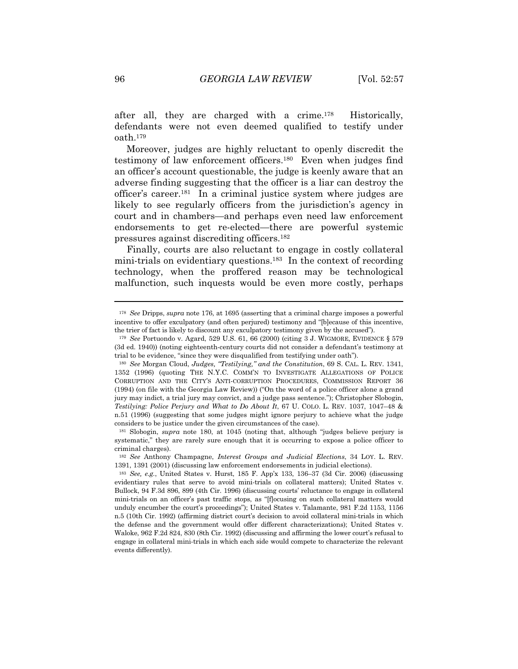after all, they are charged with a crime.178 Historically, defendants were not even deemed qualified to testify under oath.179

Moreover, judges are highly reluctant to openly discredit the testimony of law enforcement officers.180 Even when judges find an officer's account questionable, the judge is keenly aware that an adverse finding suggesting that the officer is a liar can destroy the officer's career.181 In a criminal justice system where judges are likely to see regularly officers from the jurisdiction's agency in court and in chambers—and perhaps even need law enforcement endorsements to get re-elected—there are powerful systemic pressures against discrediting officers.182

Finally, courts are also reluctant to engage in costly collateral mini-trials on evidentiary questions.183 In the context of recording technology, when the proffered reason may be technological malfunction, such inquests would be even more costly, perhaps

<sup>178</sup> *See* Dripps, *supra* note 176, at 1695 (asserting that a criminal charge imposes a powerful incentive to offer exculpatory (and often perjured) testimony and "[b]ecause of this incentive, the trier of fact is likely to discount any exculpatory testimony given by the accused").

<sup>179</sup> *See* Portuondo v. Agard, 529 U.S. 61, 66 (2000) (citing 3 J. WIGMORE, EVIDENCE § 579 (3d ed. 1940)) (noting eighteenth-century courts did not consider a defendant's testimony at trial to be evidence, "since they were disqualified from testifying under oath").

<sup>180</sup> *See* Morgan Cloud, *Judges, "Testilying," and the Constitution*, 69 S. CAL. L. REV. 1341, 1352 (1996) (quoting THE N.Y.C. COMM'N TO INVESTIGATE ALLEGATIONS OF POLICE CORRUPTION AND THE CITY'S ANTI-CORRUPTION PROCEDURES, COMMISSION REPORT 36 (1994) (on file with the Georgia Law Review)) ("On the word of a police officer alone a grand jury may indict, a trial jury may convict, and a judge pass sentence."); Christopher Slobogin, *Testilying: Police Perjury and What to Do About It*, 67 U. COLO. L. REV. 1037, 1047–48 & n.51 (1996) (suggesting that some judges might ignore perjury to achieve what the judge considers to be justice under the given circumstances of the case).

<sup>181</sup> Slobogin, *supra* note 180, at 1045 (noting that, although "judges believe perjury is systematic," they are rarely sure enough that it is occurring to expose a police officer to criminal charges).

<sup>182</sup> *See* Anthony Champagne, *Interest Groups and Judicial Elections*, 34 LOY. L. REV. 1391, 1391 (2001) (discussing law enforcement endorsements in judicial elections).

<sup>183</sup> *See, e.g.*, United States v. Hurst, 185 F. App'x 133, 136–37 (3d Cir. 2006) (discussing evidentiary rules that serve to avoid mini-trials on collateral matters); United States v. Bullock, 94 F.3d 896, 899 (4th Cir. 1996) (discussing courts' reluctance to engage in collateral mini-trials on an officer's past traffic stops, as "[f]ocusing on such collateral matters would unduly encumber the court's proceedings"); United States v. Talamante, 981 F.2d 1153, 1156 n.5 (10th Cir. 1992) (affirming district court's decision to avoid collateral mini-trials in which the defense and the government would offer different characterizations); United States v. Waloke, 962 F.2d 824, 830 (8th Cir. 1992) (discussing and affirming the lower court's refusal to engage in collateral mini-trials in which each side would compete to characterize the relevant events differently).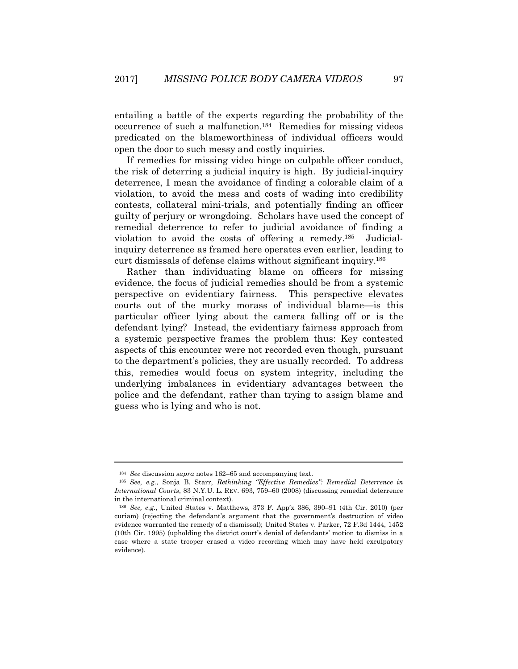entailing a battle of the experts regarding the probability of the occurrence of such a malfunction.184 Remedies for missing videos predicated on the blameworthiness of individual officers would open the door to such messy and costly inquiries.

If remedies for missing video hinge on culpable officer conduct, the risk of deterring a judicial inquiry is high. By judicial-inquiry deterrence, I mean the avoidance of finding a colorable claim of a violation, to avoid the mess and costs of wading into credibility contests, collateral mini-trials, and potentially finding an officer guilty of perjury or wrongdoing. Scholars have used the concept of remedial deterrence to refer to judicial avoidance of finding a violation to avoid the costs of offering a remedy.185 Judicialinquiry deterrence as framed here operates even earlier, leading to curt dismissals of defense claims without significant inquiry.186

Rather than individuating blame on officers for missing evidence, the focus of judicial remedies should be from a systemic perspective on evidentiary fairness. This perspective elevates courts out of the murky morass of individual blame—is this particular officer lying about the camera falling off or is the defendant lying? Instead, the evidentiary fairness approach from a systemic perspective frames the problem thus: Key contested aspects of this encounter were not recorded even though, pursuant to the department's policies, they are usually recorded. To address this, remedies would focus on system integrity, including the underlying imbalances in evidentiary advantages between the police and the defendant, rather than trying to assign blame and guess who is lying and who is not.

<sup>184</sup> *See* discussion *supra* notes 162–65 and accompanying text. 185 *See, e.g.*, Sonja B. Starr, *Rethinking "Effective Remedies": Remedial Deterrence in International Courts*, 83 N.Y.U. L. REV. 693, 759–60 (2008) (discussing remedial deterrence in the international criminal context).

<sup>186</sup> *See, e.g.*, United States v. Matthews, 373 F. App'x 386, 390–91 (4th Cir. 2010) (per curiam) (rejecting the defendant's argument that the government's destruction of video evidence warranted the remedy of a dismissal); United States v. Parker, 72 F.3d 1444, 1452 (10th Cir. 1995) (upholding the district court's denial of defendants' motion to dismiss in a case where a state trooper erased a video recording which may have held exculpatory evidence).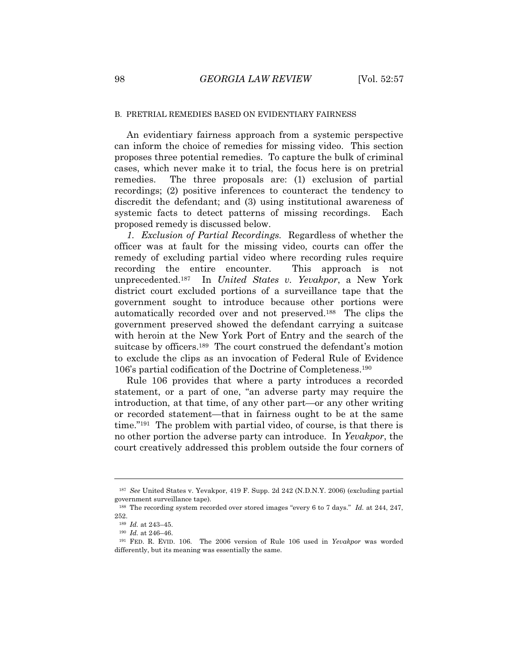#### B. PRETRIAL REMEDIES BASED ON EVIDENTIARY FAIRNESS

An evidentiary fairness approach from a systemic perspective can inform the choice of remedies for missing video. This section proposes three potential remedies. To capture the bulk of criminal cases, which never make it to trial, the focus here is on pretrial remedies. The three proposals are: (1) exclusion of partial recordings; (2) positive inferences to counteract the tendency to discredit the defendant; and (3) using institutional awareness of systemic facts to detect patterns of missing recordings. Each proposed remedy is discussed below.

*1. Exclusion of Partial Recordings.* Regardless of whether the officer was at fault for the missing video, courts can offer the remedy of excluding partial video where recording rules require recording the entire encounter. This approach is not unprecedented.187 In *United States v. Yevakpor*, a New York district court excluded portions of a surveillance tape that the government sought to introduce because other portions were automatically recorded over and not preserved.188 The clips the government preserved showed the defendant carrying a suitcase with heroin at the New York Port of Entry and the search of the suitcase by officers.189 The court construed the defendant's motion to exclude the clips as an invocation of Federal Rule of Evidence 106's partial codification of the Doctrine of Completeness.190

Rule 106 provides that where a party introduces a recorded statement, or a part of one, "an adverse party may require the introduction, at that time, of any other part—or any other writing or recorded statement—that in fairness ought to be at the same time."191 The problem with partial video, of course, is that there is no other portion the adverse party can introduce. In *Yevakpor*, the court creatively addressed this problem outside the four corners of

<sup>187</sup> *See* United States v. Yevakpor, 419 F. Supp. 2d 242 (N.D.N.Y. 2006) (excluding partial government surveillance tape).

<sup>188</sup> The recording system recorded over stored images "every 6 to 7 days." *Id.* at 244, 247, 252.

<sup>189</sup> *Id.* at 243–45. 190 *Id.* at 246–46. 191 FED. R. EVID. 106. The 2006 version of Rule 106 used in *Yevakpor* was worded differently, but its meaning was essentially the same.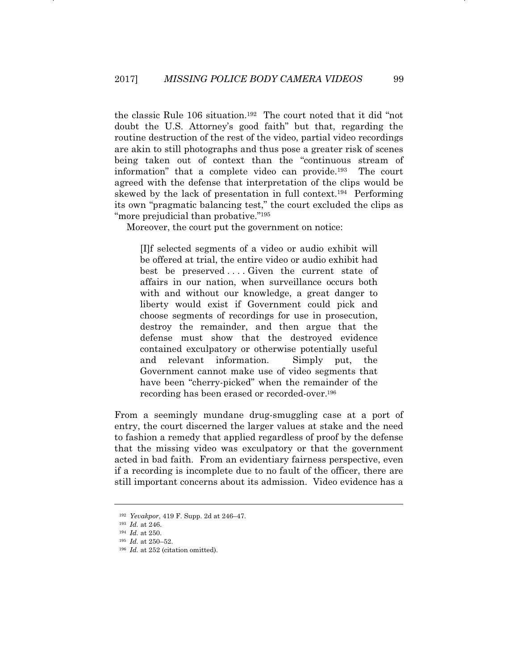the classic Rule 106 situation.192 The court noted that it did "not doubt the U.S. Attorney's good faith" but that, regarding the routine destruction of the rest of the video, partial video recordings are akin to still photographs and thus pose a greater risk of scenes being taken out of context than the "continuous stream of information" that a complete video can provide.193 The court agreed with the defense that interpretation of the clips would be skewed by the lack of presentation in full context.194 Performing its own "pragmatic balancing test," the court excluded the clips as "more prejudicial than probative."<sup>195</sup>

Moreover, the court put the government on notice:

[I]f selected segments of a video or audio exhibit will be offered at trial, the entire video or audio exhibit had best be preserved ... Given the current state of affairs in our nation, when surveillance occurs both with and without our knowledge, a great danger to liberty would exist if Government could pick and choose segments of recordings for use in prosecution, destroy the remainder, and then argue that the defense must show that the destroyed evidence contained exculpatory or otherwise potentially useful and relevant information. Simply put, the Government cannot make use of video segments that have been "cherry-picked" when the remainder of the recording has been erased or recorded-over.196

From a seemingly mundane drug-smuggling case at a port of entry, the court discerned the larger values at stake and the need to fashion a remedy that applied regardless of proof by the defense that the missing video was exculpatory or that the government acted in bad faith. From an evidentiary fairness perspective, even if a recording is incomplete due to no fault of the officer, there are still important concerns about its admission. Video evidence has a

<sup>192</sup> *Yevakpor*, 419 F. Supp. 2d at 246–47. 193 *Id.* at 246. 194 *Id.* at 250. 195 *Id.* at 250–52.

<sup>&</sup>lt;sup>196</sup> *Id.* at 252 (citation omitted).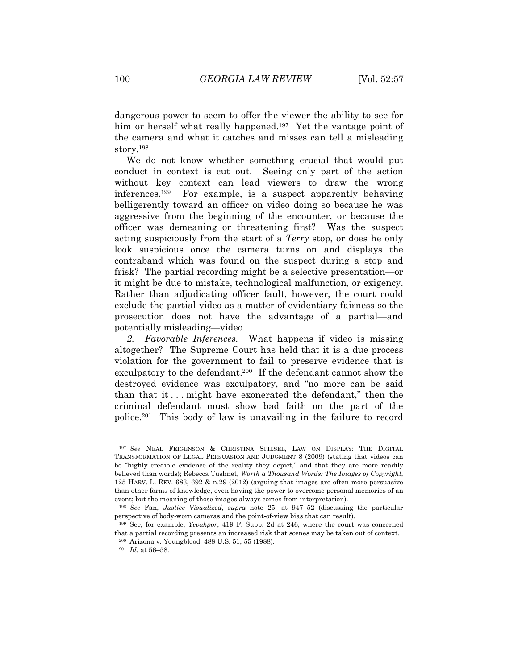dangerous power to seem to offer the viewer the ability to see for him or herself what really happened.<sup>197</sup> Yet the vantage point of the camera and what it catches and misses can tell a misleading story.198

We do not know whether something crucial that would put conduct in context is cut out. Seeing only part of the action without key context can lead viewers to draw the wrong inferences.199 For example, is a suspect apparently behaving belligerently toward an officer on video doing so because he was aggressive from the beginning of the encounter, or because the officer was demeaning or threatening first? Was the suspect acting suspiciously from the start of a *Terry* stop, or does he only look suspicious once the camera turns on and displays the contraband which was found on the suspect during a stop and frisk? The partial recording might be a selective presentation—or it might be due to mistake, technological malfunction, or exigency. Rather than adjudicating officer fault, however, the court could exclude the partial video as a matter of evidentiary fairness so the prosecution does not have the advantage of a partial—and potentially misleading—video.

*2. Favorable Inferences.* What happens if video is missing altogether? The Supreme Court has held that it is a due process violation for the government to fail to preserve evidence that is exculpatory to the defendant.200 If the defendant cannot show the destroyed evidence was exculpatory, and "no more can be said than that it . . . might have exonerated the defendant," then the criminal defendant must show bad faith on the part of the police.201 This body of law is unavailing in the failure to record

<sup>197</sup> *See* NEAL FEIGENSON & CHRISTINA SPIESEL, LAW ON DISPLAY: THE DIGITAL TRANSFORMATION OF LEGAL PERSUASION AND JUDGMENT 8 (2009) (stating that videos can be "highly credible evidence of the reality they depict," and that they are more readily believed than words); Rebecca Tushnet, *Worth a Thousand Words: The Images of Copyright*, 125 HARV. L. REV. 683, 692 & n.29 (2012) (arguing that images are often more persuasive than other forms of knowledge, even having the power to overcome personal memories of an event; but the meaning of those images always comes from interpretation).

<sup>198</sup> *See* Fan, *Justice Visualized*, *supra* note 25, at 947–52 (discussing the particular perspective of body-worn cameras and the point-of-view bias that can result).

<sup>199</sup> See, for example, *Yevakpor*, 419 F. Supp. 2d at 246, where the court was concerned that a partial recording presents an increased risk that scenes may be taken out of context.

<sup>200</sup> Arizona v. Youngblood, 488 U.S. 51, 55 (1988).

<sup>201</sup> *Id.* at 56–58.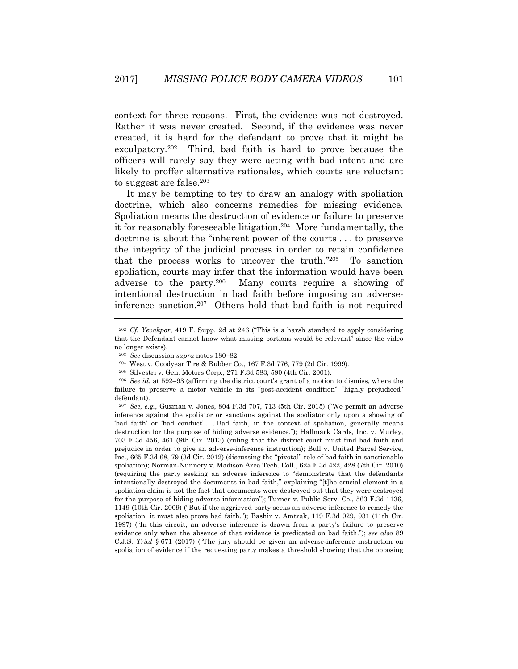context for three reasons. First, the evidence was not destroyed. Rather it was never created. Second, if the evidence was never created, it is hard for the defendant to prove that it might be exculpatory.202 Third, bad faith is hard to prove because the officers will rarely say they were acting with bad intent and are likely to proffer alternative rationales, which courts are reluctant to suggest are false.203

It may be tempting to try to draw an analogy with spoliation doctrine, which also concerns remedies for missing evidence. Spoliation means the destruction of evidence or failure to preserve it for reasonably foreseeable litigation.204 More fundamentally, the doctrine is about the "inherent power of the courts . . . to preserve the integrity of the judicial process in order to retain confidence that the process works to uncover the truth."205 To sanction spoliation, courts may infer that the information would have been adverse to the party.206 Many courts require a showing of intentional destruction in bad faith before imposing an adverseinference sanction.207 Others hold that bad faith is not required

<sup>202</sup> *Cf. Yevakpor*, 419 F. Supp. 2d at 246 ("This is a harsh standard to apply considering that the Defendant cannot know what missing portions would be relevant" since the video no longer exists).

<sup>203</sup> *See* discussion *supra* notes 180–82. 204 West v. Goodyear Tire & Rubber Co., 167 F.3d 776, 779 (2d Cir. 1999).

<sup>205</sup> Silvestri v. Gen. Motors Corp., 271 F.3d 583, 590 (4th Cir. 2001). 206 *See id.* at 592–93 (affirming the district court's grant of a motion to dismiss, where the failure to preserve a motor vehicle in its "post-accident condition" "highly prejudiced" defendant).

<sup>207</sup> *See, e.g.*, Guzman v. Jones, 804 F.3d 707, 713 (5th Cir. 2015) ("We permit an adverse inference against the spoliator or sanctions against the spoliator only upon a showing of 'bad faith' or 'bad conduct' . . . Bad faith, in the context of spoliation, generally means destruction for the purpose of hiding adverse evidence."); Hallmark Cards, Inc. v. Murley, 703 F.3d 456, 461 (8th Cir. 2013) (ruling that the district court must find bad faith and prejudice in order to give an adverse-inference instruction); Bull v. United Parcel Service, Inc., 665 F.3d 68, 79 (3d Cir. 2012) (discussing the "pivotal" role of bad faith in sanctionable spoliation); Norman-Nunnery v. Madison Area Tech. Coll., 625 F.3d 422, 428 (7th Cir. 2010) (requiring the party seeking an adverse inference to "demonstrate that the defendants intentionally destroyed the documents in bad faith," explaining "[t]he crucial element in a spoliation claim is not the fact that documents were destroyed but that they were destroyed for the purpose of hiding adverse information"); Turner v. Public Serv. Co., 563 F.3d 1136, 1149 (10th Cir. 2009) ("But if the aggrieved party seeks an adverse inference to remedy the spoliation, it must also prove bad faith."); Bashir v. Amtrak, 119 F.3d 929, 931 (11th Cir. 1997) ("In this circuit, an adverse inference is drawn from a party's failure to preserve evidence only when the absence of that evidence is predicated on bad faith."); *see also* 89 C.J.S. *Trial* § 671 (2017) ("The jury should be given an adverse-inference instruction on spoliation of evidence if the requesting party makes a threshold showing that the opposing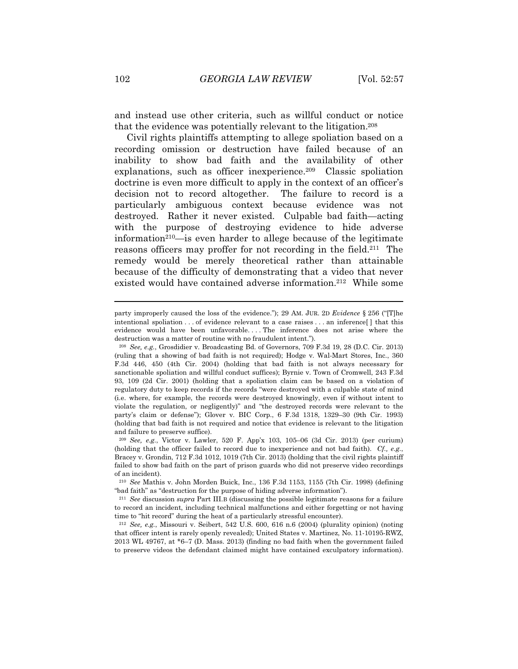and instead use other criteria, such as willful conduct or notice that the evidence was potentially relevant to the litigation.208

Civil rights plaintiffs attempting to allege spoliation based on a recording omission or destruction have failed because of an inability to show bad faith and the availability of other explanations, such as officer inexperience.209 Classic spoliation doctrine is even more difficult to apply in the context of an officer's decision not to record altogether. The failure to record is a particularly ambiguous context because evidence was not destroyed. Rather it never existed. Culpable bad faith—acting with the purpose of destroying evidence to hide adverse information<sup>210—is</sup> even harder to allege because of the legitimate reasons officers may proffer for not recording in the field.<sup>211</sup> The remedy would be merely theoretical rather than attainable because of the difficulty of demonstrating that a video that never existed would have contained adverse information.212 While some

party improperly caused the loss of the evidence."); 29 AM. JUR. 2D *Evidence* § 256 ("[T]he intentional spoliation . . . of evidence relevant to a case raises . . . an inference[ ] that this evidence would have been unfavorable. . . . The inference does not arise where the destruction was a matter of routine with no fraudulent intent.").

<sup>208</sup> *See, e.g.*, Grosdidier v. Broadcasting Bd. of Governors, 709 F.3d 19, 28 (D.C. Cir. 2013) (ruling that a showing of bad faith is not required); Hodge v. Wal-Mart Stores, Inc., 360 F.3d 446, 450 (4th Cir. 2004) (holding that bad faith is not always necessary for sanctionable spoliation and willful conduct suffices); Byrnie v. Town of Cromwell, 243 F.3d 93, 109 (2d Cir. 2001) (holding that a spoliation claim can be based on a violation of regulatory duty to keep records if the records "were destroyed with a culpable state of mind (i.e. where, for example, the records were destroyed knowingly, even if without intent to violate the regulation, or negligently)" and "the destroyed records were relevant to the party's claim or defense"); Glover v. BIC Corp., 6 F.3d 1318, 1329–30 (9th Cir. 1993) (holding that bad faith is not required and notice that evidence is relevant to the litigation and failure to preserve suffice).

<sup>209</sup> *See, e.g.*, Victor v. Lawler, 520 F. App'x 103, 105–06 (3d Cir. 2013) (per curium) (holding that the officer failed to record due to inexperience and not bad faith). *Cf., e.g.*, Bracey v. Grondin, 712 F.3d 1012, 1019 (7th Cir. 2013) (holding that the civil rights plaintiff failed to show bad faith on the part of prison guards who did not preserve video recordings of an incident).

<sup>210</sup> *See* Mathis v. John Morden Buick, Inc., 136 F.3d 1153, 1155 (7th Cir. 1998) (defining "bad faith" as "destruction for the purpose of hiding adverse information").

<sup>211</sup> *See* discussion *supra* Part III.B (discussing the possible legitimate reasons for a failure to record an incident, including technical malfunctions and either forgetting or not having time to "hit record" during the heat of a particularly stressful encounter).

<sup>212</sup> *See, e.g.*, Missouri v. Seibert, 542 U.S. 600, 616 n.6 (2004) (plurality opinion) (noting that officer intent is rarely openly revealed); United States v. Martinez, No. 11-10195-RWZ, 2013 WL 49767, at \*6–7 (D. Mass. 2013) (finding no bad faith when the government failed to preserve videos the defendant claimed might have contained exculpatory information).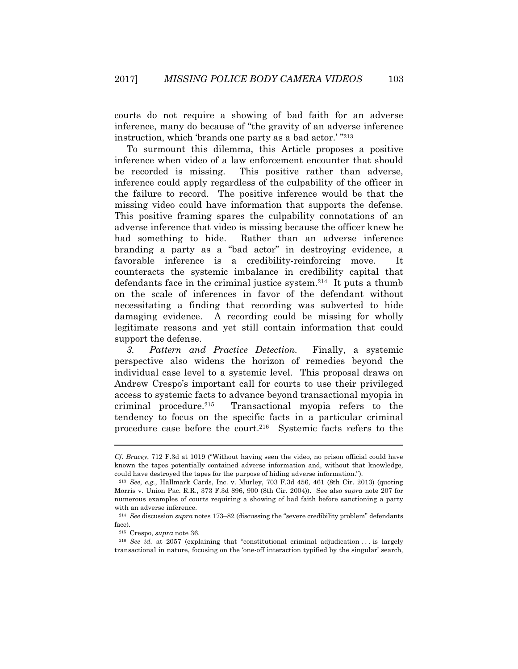courts do not require a showing of bad faith for an adverse inference, many do because of "the gravity of an adverse inference instruction, which 'brands one party as a bad actor.' "213

To surmount this dilemma, this Article proposes a positive inference when video of a law enforcement encounter that should be recorded is missing. This positive rather than adverse, inference could apply regardless of the culpability of the officer in the failure to record. The positive inference would be that the missing video could have information that supports the defense. This positive framing spares the culpability connotations of an adverse inference that video is missing because the officer knew he had something to hide. Rather than an adverse inference branding a party as a "bad actor" in destroying evidence, a favorable inference is a credibility-reinforcing move. It counteracts the systemic imbalance in credibility capital that defendants face in the criminal justice system.214 It puts a thumb on the scale of inferences in favor of the defendant without necessitating a finding that recording was subverted to hide damaging evidence. A recording could be missing for wholly legitimate reasons and yet still contain information that could support the defense.

*3. Pattern and Practice Detection.* Finally, a systemic perspective also widens the horizon of remedies beyond the individual case level to a systemic level. This proposal draws on Andrew Crespo's important call for courts to use their privileged access to systemic facts to advance beyond transactional myopia in criminal procedure.215 Transactional myopia refers to the tendency to focus on the specific facts in a particular criminal procedure case before the court.216 Systemic facts refers to the

*Cf*. *Bracey*, 712 F.3d at 1019 ("Without having seen the video, no prison official could have known the tapes potentially contained adverse information and, without that knowledge, could have destroyed the tapes for the purpose of hiding adverse information.").

<sup>213</sup> *See, e.g.*, Hallmark Cards, Inc. v. Murley, 703 F.3d 456, 461 (8th Cir. 2013) (quoting Morris v. Union Pac. R.R., 373 F.3d 896, 900 (8th Cir. 2004)). See also *supra* note 207 for numerous examples of courts requiring a showing of bad faith before sanctioning a party with an adverse inference.

<sup>214</sup> *See* discussion *supra* notes 173–82 (discussing the "severe credibility problem" defendants face).

<sup>215</sup> Crespo, *supra* note 36. 216 *See id.* at 2057 (explaining that "constitutional criminal adjudication . . . is largely transactional in nature, focusing on the 'one-off interaction typified by the singular' search,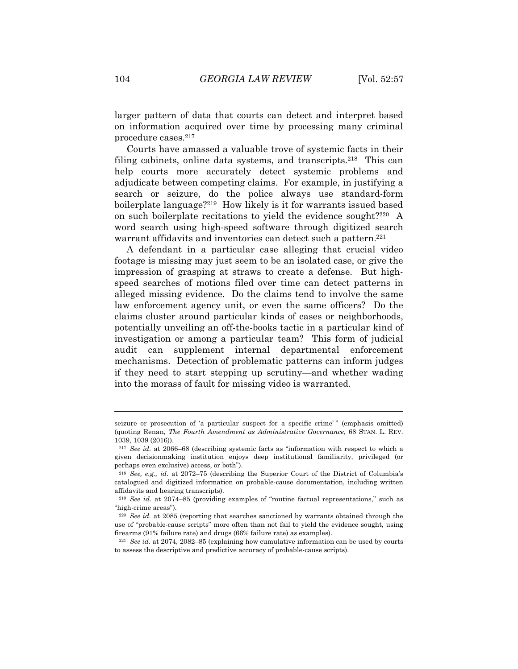larger pattern of data that courts can detect and interpret based on information acquired over time by processing many criminal procedure cases.217

Courts have amassed a valuable trove of systemic facts in their filing cabinets, online data systems, and transcripts.218 This can help courts more accurately detect systemic problems and adjudicate between competing claims. For example, in justifying a search or seizure, do the police always use standard-form boilerplate language?219 How likely is it for warrants issued based on such boilerplate recitations to yield the evidence sought?220 A word search using high-speed software through digitized search warrant affidavits and inventories can detect such a pattern.<sup>221</sup>

A defendant in a particular case alleging that crucial video footage is missing may just seem to be an isolated case, or give the impression of grasping at straws to create a defense. But highspeed searches of motions filed over time can detect patterns in alleged missing evidence. Do the claims tend to involve the same law enforcement agency unit, or even the same officers? Do the claims cluster around particular kinds of cases or neighborhoods, potentially unveiling an off-the-books tactic in a particular kind of investigation or among a particular team? This form of judicial audit can supplement internal departmental enforcement mechanisms. Detection of problematic patterns can inform judges if they need to start stepping up scrutiny—and whether wading into the morass of fault for missing video is warranted.

seizure or prosecution of 'a particular suspect for a specific crime' " (emphasis omitted) (quoting Renan, *The Fourth Amendment as Administrative Governance*, 68 STAN. L. REV. 1039, 1039 (2016)).

<sup>217</sup> *See id.* at 2066–68 (describing systemic facts as "information with respect to which a given decisionmaking institution enjoys deep institutional familiarity, privileged (or perhaps even exclusive) access, or both").

<sup>218</sup> *See, e.g., id.* at 2072–75 (describing the Superior Court of the District of Columbia's catalogued and digitized information on probable-cause documentation, including written affidavits and hearing transcripts).

<sup>219</sup> *See id.* at 2074–85 (providing examples of "routine factual representations," such as "high-crime areas").

<sup>220</sup> *See id.* at 2085 (reporting that searches sanctioned by warrants obtained through the use of "probable-cause scripts" more often than not fail to yield the evidence sought, using firearms (91% failure rate) and drugs (66% failure rate) as examples).

<sup>221</sup> *See id.* at 2074, 2082–85 (explaining how cumulative information can be used by courts to assess the descriptive and predictive accuracy of probable-cause scripts).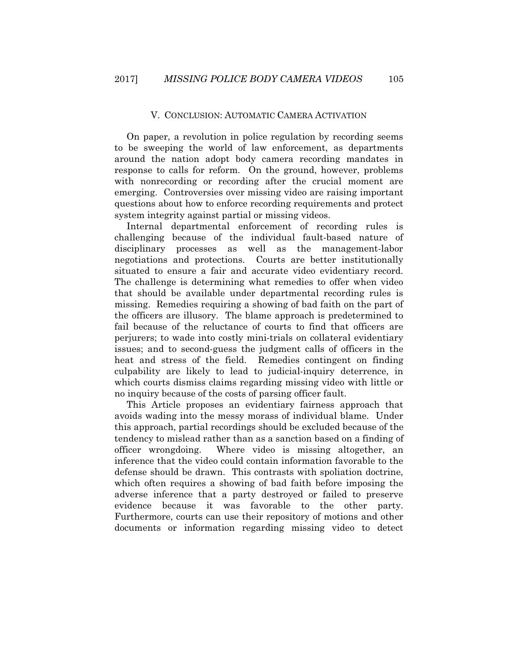#### V. CONCLUSION: AUTOMATIC CAMERA ACTIVATION

On paper, a revolution in police regulation by recording seems to be sweeping the world of law enforcement, as departments around the nation adopt body camera recording mandates in response to calls for reform. On the ground, however, problems with nonrecording or recording after the crucial moment are emerging. Controversies over missing video are raising important questions about how to enforce recording requirements and protect system integrity against partial or missing videos.

Internal departmental enforcement of recording rules is challenging because of the individual fault-based nature of disciplinary processes as well as the management-labor negotiations and protections. Courts are better institutionally situated to ensure a fair and accurate video evidentiary record. The challenge is determining what remedies to offer when video that should be available under departmental recording rules is missing. Remedies requiring a showing of bad faith on the part of the officers are illusory. The blame approach is predetermined to fail because of the reluctance of courts to find that officers are perjurers; to wade into costly mini-trials on collateral evidentiary issues; and to second-guess the judgment calls of officers in the heat and stress of the field. Remedies contingent on finding culpability are likely to lead to judicial-inquiry deterrence, in which courts dismiss claims regarding missing video with little or no inquiry because of the costs of parsing officer fault.

This Article proposes an evidentiary fairness approach that avoids wading into the messy morass of individual blame. Under this approach, partial recordings should be excluded because of the tendency to mislead rather than as a sanction based on a finding of officer wrongdoing. Where video is missing altogether, an inference that the video could contain information favorable to the defense should be drawn. This contrasts with spoliation doctrine, which often requires a showing of bad faith before imposing the adverse inference that a party destroyed or failed to preserve evidence because it was favorable to the other party. Furthermore, courts can use their repository of motions and other documents or information regarding missing video to detect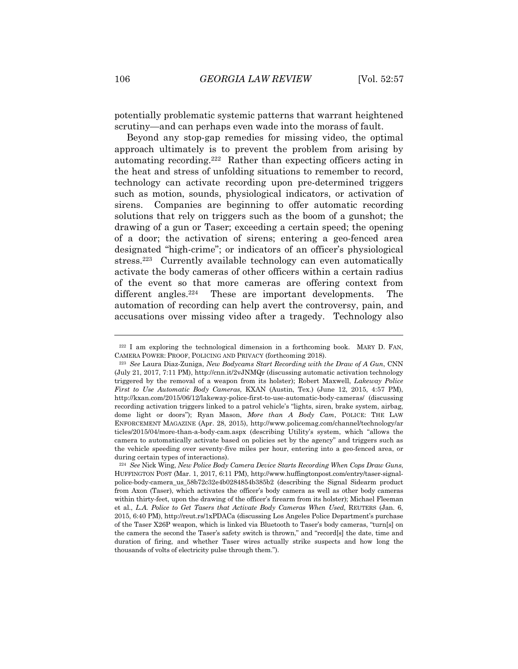potentially problematic systemic patterns that warrant heightened scrutiny—and can perhaps even wade into the morass of fault.

Beyond any stop-gap remedies for missing video, the optimal approach ultimately is to prevent the problem from arising by automating recording.222 Rather than expecting officers acting in the heat and stress of unfolding situations to remember to record, technology can activate recording upon pre-determined triggers such as motion, sounds, physiological indicators, or activation of sirens. Companies are beginning to offer automatic recording solutions that rely on triggers such as the boom of a gunshot; the drawing of a gun or Taser; exceeding a certain speed; the opening of a door; the activation of sirens; entering a geo-fenced area designated "high-crime"; or indicators of an officer's physiological stress.223 Currently available technology can even automatically activate the body cameras of other officers within a certain radius of the event so that more cameras are offering context from different angles.<sup>224</sup> These are important developments. The automation of recording can help avert the controversy, pain, and accusations over missing video after a tragedy. Technology also

 $222$  I am exploring the technological dimension in a forthcoming book. MARY D. FAN, CAMERA POWER: PROOF, POLICING AND PRIVACY (forthcoming 2018). 223 *See* Laura Diaz-Zuniga, *New Bodycams Start Recording with the Draw of A Gun*, CNN

<sup>(</sup>July 21, 2017, 7:11 PM), http://cnn.it/2vJNMQr (discussing automatic activation technology triggered by the removal of a weapon from its holster); Robert Maxwell, *Lakeway Police First to Use Automatic Body Cameras*, KXAN (Austin, Tex.) (June 12, 2015, 4:57 PM), http://kxan.com/2015/06/12/lakeway-police-first-to-use-automatic-body-cameras/ (discussing recording activation triggers linked to a patrol vehicle's "lights, siren, brake system, airbag, dome light or doors"); Ryan Mason, *More than A Body Cam*, POLICE: THE LAW ENFORCEMENT MAGAZINE (Apr. 28, 2015), http://www.policemag.com/channel/technology/ar ticles/2015/04/more-than-a-body-cam.aspx (describing Utility's system, which "allows the camera to automatically activate based on policies set by the agency" and triggers such as the vehicle speeding over seventy-five miles per hour, entering into a geo-fenced area, or during certain types of interactions).

<sup>224</sup> *See* Nick Wing, *New Police Body Camera Device Starts Recording When Cops Draw Guns*, HUFFINGTON POST (Mar. 1, 2017, 6:11 PM), http://www.huffingtonpost.com/entry/taser-signalpolice-body-camera\_us\_58b72c32e4b0284854b385b2 (describing the Signal Sidearm product from Axon (Taser), which activates the officer's body camera as well as other body cameras within thirty-feet, upon the drawing of the officer's firearm from its holster); Michael Fleeman et al., *L.A. Police to Get Tasers that Activate Body Cameras When Used*, REUTERS (Jan. 6, 2015, 6:40 PM), http://reut.rs/1xPDACa (discussing Los Angeles Police Department's purchase of the Taser X26P weapon, which is linked via Bluetooth to Taser's body cameras, "turn[s] on the camera the second the Taser's safety switch is thrown," and "record[s] the date, time and duration of firing, and whether Taser wires actually strike suspects and how long the thousands of volts of electricity pulse through them.").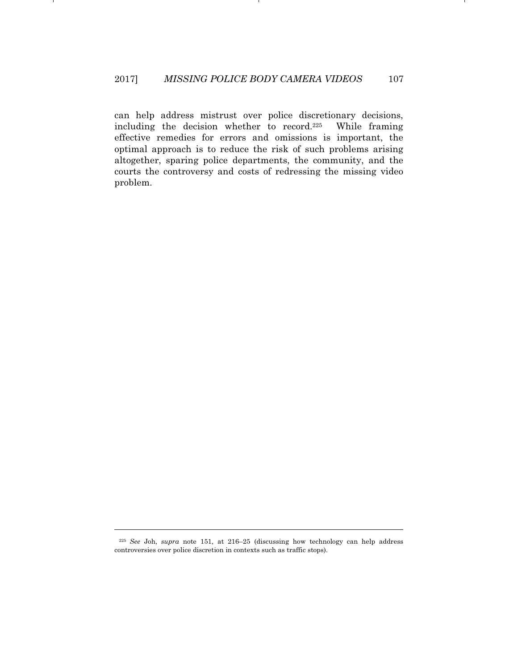can help address mistrust over police discretionary decisions, including the decision whether to record.<sup>225</sup> While framing effective remedies for errors and omissions is important, the optimal approach is to reduce the risk of such problems arising altogether, sparing police departments, the community, and the courts the controversy and costs of redressing the missing video problem.

<sup>225</sup> *See* Joh, *supra* note 151, at 216–25 (discussing how technology can help address controversies over police discretion in contexts such as traffic stops).